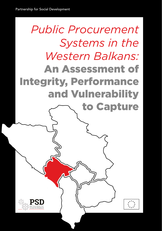# *Public Procurement Systems in the Western Balkans:* An Assessment of Integrity, Performance and Vulnerability to Capture

1

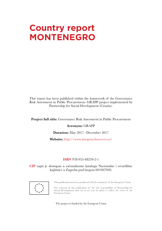## **Country report MONTENEGRO**

This report has been published within the framework of the Governance Risk Assessment in Public Procurement- GRAPP project implemented by Partnership for Social Development (Croatia).

**Project full title:** Governance Risk Assessment in Public Procurement

#### **Acronym:** GRAPP

**Duration:** May 2017 –December 2017

**Website:** http://www.integrityobservers.eu/

#### **ISBN** 978-953-48259-2-1

**CIP** zapis je dostupan u računalnome katalogu Nacionalne i sveučilišne knjižnice u Zagrebu pod brojem 001007920.



This publication has been produced with the assistance of the European Union.

The contents of this publication are the sole responsibility of Partnership for Social Development and can in no way be taken to reflect the views of the European Union.

The project is funded by the European Union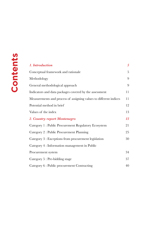| 1. Introduction                                                   | $\overline{5}$ |
|-------------------------------------------------------------------|----------------|
| Conceptual framework and rationale                                | 5              |
| Methodology                                                       | 9              |
| General methodological approach                                   | 9              |
| Indicators and data packages covered by the assessment            | 11             |
| Measurements and process of assigning values to different indices | 11             |
| Potential method in brief                                         | 12             |
| Values of the index                                               | 13             |
| 2. Country report Montenegro                                      | 15             |
| Category 1: Public Procurement Regulatory Ecosystem               | 21             |
| Category 2 : Public Procurement Planning                          | 25             |
| Category 3 : Exceptions from procurement legislation              | 30             |
| Category 4 : Information management in Public                     |                |
| Procurement system                                                | 34             |
| Category 5 : Pre-bidding stage                                    | 37             |
| Category 6 : Public procurement Contracting                       | 40             |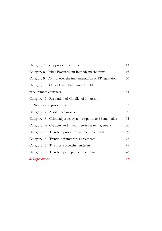| Category 7 : Petty public procurement                          | 43 |
|----------------------------------------------------------------|----|
| Category 8 : Public Procurement Remedy mechanisms              | 46 |
| Category 9 : Control over the implementation of PP legislation | 50 |
| Category 10 : Control over Execution of public                 |    |
| procurement contracts                                          | 54 |
| Category 11: Regulation of Conflict of Interest in             |    |
| PP System and procedures                                       | 57 |
| Category 12 : Audit mechanisms                                 | 60 |
| Category 13 : Criminal justice system response to PP anomalies | 63 |
| Category 14 : Capacity and human resources management          | 66 |
| Category 15 : Trends in public procurement contracts           | 69 |
| Category 16 : Trends in framework agreements                   | 72 |
| Category 17 : The most successful tenderers                    | 75 |
| Category 18 : Trends in petty public procurement               | 78 |
| 3. References                                                  | 81 |
|                                                                |    |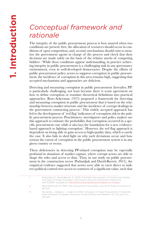### <span id="page-4-0"></span>*Conceptual framework and rationale*

The integrity of the public procurement process is best assured when two conditions are present: first, the allocation of resources should occur in conditions of open competition; and, second, mechanisms should exist to monitor the government agents in charge of the process and check that their decisions are made solely on the basis of the relative merits of competing bidders<sup>1</sup>. While these conditions appear undemanding, in practice achieving integrity in public procurement is a challenging task in any governance environment, even in well-developed democracies. Despite the efforts of public procurement policy actors to suppress corruption in public procurement, the incidence of corruption in this area remains high, suggesting that accepted mechanisms and approaches are deficient.

Detecting and measuring corruption in public procurement (hereafter, PP) is particularly challenging, not least because there is scant agreement on how to define corruption or translate theoretical definitions into practical approaches. Rose-Ackerman (1975) proposed a framework for detecting and measuring corruption in public procurement that is based on the relationship between market structure and the incidence of corrupt dealings in the government contracting process<sup>2</sup>. This widely accepted approach has led to the development of 'red flag' indicators of corruption risk in the public procurement process. Practitioners, investigators and policy makers use this approach to estimate the probability that corruption occurred in a specific procurement case while it also lays the foundation for a new evidencebased approach to fighting corruption<sup>3</sup>. However, the red flag approach is dependent on being able to gain access to high-quality data, which is rarely the case. It also fails to shed light on why such deviations occur and how serious the extent of corruption in the public procurement system is in any given country or sector.

These deficiencies in detecting PP-related corruption may be especially profound in situations of market capture, where corrupt actors are able to shape the rules and access to data. Thus, in our study on public procurement in the construction sector (Podumljak and David-Barrett, 2015), the empirical evidence suggested that actors were able to exert direct or indirect political control over access to contracts of a significant value, such that

|               | Podumljak, M., David-Barrett, E. (2015) The Public Procurement of Construction Works:<br>The Case of Croatia. European Commission's Seventh Framework Programme<br>ANTICORRP. Available at: http://anticorrp.eu/publications/report-on-croatia/. |
|---------------|--------------------------------------------------------------------------------------------------------------------------------------------------------------------------------------------------------------------------------------------------|
| $\mathcal{P}$ | Rose-Ackerman, R. (1975) The Economics of Corruption, Journal of Public Economics 4,<br>187-203                                                                                                                                                  |
| 3             | Ferwerda, J., Deleanu, I., Unger, B. (2016) Corruption in Public Procurement: Finding the<br>Right Indicators. European Journal on Criminal Policy and Research Vol. 23, Issue 2, p.<br>245-267                                                  |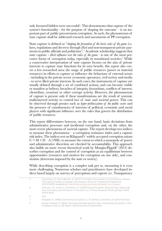only favoured bidders were successful<sup>4</sup>. This demonstrates that capture of the system's functionality - for the purpose of shaping the outcome – is an important part of public procurement corruption. As such, the phenomenon of state capture shall be addressed research and assessments of PP corruption.

State capture is defined as "*shaping the formation of the basic rules of the game* (i.e. laws, regulations and decrees) through *illicit* and non-transparent private payments to public officials and politicians".<sup>5</sup> Academic scholarship suggests that state capture - *illicit influence over the rules of the game -* is one of the most pervasive forms of corruption today, especially in transitional societies.<sup>6</sup> While a conservative interpretation of state capture focuses on the aim of private interests to capture state functions for its own benefit, this report also covers a less researched area: the usage of public resources (power or material resources) in efforts to capture or influence the behaviour of external actors - including in the private sector (economic operators), civil society and media - to serve illicit private interests. In such cases, the instruments of capture are usually defined through a set of combined actions, and can become visible or manifest as bribery, breaches of integrity, favouritism, conflicts of interest, clientelism, cronyism or other corrupt activity. However, the phenomenon of capture is present only if these manifestations are the result of systemic multi-layered activity to control loci of state and societal power. This can be observed through proxies such as *hyper-politicization of the public sector* and the presence of constituencies of interests of political, economic and social players with significant influence over the rules that govern the distribution of public resources.

This report differentiates between, on the one hand, basic deviations from administrative processes and incidental corruption and, on the other, the more severe phenomena of societal capture. The report develops two indices to measure these phenomena – a corruption resistance index and a capture risk index. The indices rest on Klitgaard's<sup>7</sup> widely accepted corruption axiom  $C = M + D - A$  (1988), to measure the extent to which a monopoly of power and administrative discretion are checked by accountability. This approach also builds on more recent theoretical work by Mungiu-Pippidi8 (2013) describes corruption and the control of corruption as an equilibrium between opportunities (resources and motives for corruption on one side), and constraints (deterrents imposed by the state or society).

While describing corruption is a complex task per se, measuring it is even more challenging. Numerous scholars and practitioners have developed indices based largely on surveys of perceptions and experts (i.e. Transparency

| 4 | Podumljak, M., David-Barrett, E. (2015) The Public Procurement of Construction Works:<br>The Case of Croatia, European Commission's Seventh Framework Programme<br>ANTICORRP. Available at: http://anticorrp.eu/publications/report-on-croatia/. |
|---|--------------------------------------------------------------------------------------------------------------------------------------------------------------------------------------------------------------------------------------------------|
| 5 | Hellman, J.S., Jones, G., Kaufmann, D. (2000) Seize the State, Seize the Day: State Cap-<br>ture, Corruption, and Influence in Transition. p. 2. Policy Research Working Paper 2444.<br>World Bank.                                              |
| 6 | Ibid.                                                                                                                                                                                                                                            |
|   | Klitgaard, R. (1998) Controlling Corruption. p. 75. Berkley: University of California Press                                                                                                                                                      |
| 8 | Mungiu Pippidi, A. (2013) The Good, the Bad and the Ugly: Controlling Corruption in the<br>European Union. p. 28. Berlin: Hertie School of Governance.                                                                                           |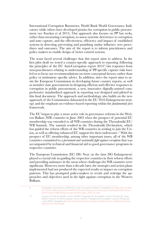International Corruption Barometer, World Bank World Governance Indicators) while others have developed proxies for corruption in public procurement (see Fazekas et al 2013). Our approach also focuses on PP but seeks, rather than measuring corruption, to assess systemic deterrence to corruption and state capture, and the effectiveness, efficiency and impact of established systems in detecting, preventing and punishing undue influence over procedures and outcomes. The aim of the report is to inform practitioners and policy makers to enable design of better control systems.

The team faced several challenges that this report aims to address. In the first pilot draft we tested a country-specific approach to reporting (following the principles of the EU Anti-Corruption report 20149 ) but responses from non-practitioners relating to understanding of PP-specific capture risks have led us to focus our recommendations on more conceptual factors, rather than policy or institution- specific advice. In addition, since the report aims to assist the European Commission in developing future country reports, as well as member state governments in designing efficient and effective responses to corruption in public procurement, a new, innovative digitally-assisted comprehensive standardized approach in reporting was designed and piloted in this final document. The approach and methodology also builds on the new approach of the Commission elaborated in the EU 2016 Enlargements strategy and the emphasis on evidence-based reporting within the *fundamentals first* framework.

The EU began to play a more active role in governance reforms in the Western Balkan (WB) countries in June 2003 when the prospect of potential EU membership was extended to all WB countries during the Thessaloniki EU-WB Summit. The summit resulted in the Thessaloniki Declaration, which has guided the reform efforts of the WB countries in seeking to join the Union, as well as offering enhanced EU support for their endeavours.10 With the prospect of EU membership, among other important issues, all of the WB countries committed to a *permanent and sustainable fight against corruption* that was accompanied by technical and financial aid to good governance programs in respective countries.

The European Commission (EC) DG Near (at the time DG Enlargement) played a crucial role in guiding the respective countries in their reform efforts and providing assistance in the areas where challenges for WB countries were significant. However, more than a decade later, the strategies and action plans implemented had not produced the expected results or impact on corruption patterns. This has prompted policy-makers to revisit and redesign the approaches and objectives used in the fight against corruption in the Western Balkans.

9 European Commission (2014) EU Anti-Corruption Report. Available at: [https://ec.europa.](https://ec.europa.eu/home-affairs/sites/homeaffairs/files/e-library/documents/policies/organized-crime-and-human-trafficking/corruption/docs/acr_2014_en.pdf) [eu/home-affairs/sites/homeaffairs/files/e-library/documents/policies/organized-crime](https://ec.europa.eu/home-affairs/sites/homeaffairs/files/e-library/documents/policies/organized-crime-and-human-trafficking/corruption/docs/acr_2014_en.pdf)[and-human-trafficking/corruption/docs/acr\\_2014\\_en.pdf](https://ec.europa.eu/home-affairs/sites/homeaffairs/files/e-library/documents/policies/organized-crime-and-human-trafficking/corruption/docs/acr_2014_en.pdf)

10 Council of the European Union (2003) Thessaloniki European Council 19 and 20 June 2003. Council of the European Union (2003) Thessaloniki European Council 19 and 20 June 2003. Available at: [http://www.consilium.europa.eu/uedocs/cms\\_data/docs/press](http://www.consilium.europa.eu/uedocs/cms_data/docs/pressdata/en/ec/76279.pdf) [data/en/ec/76279.pdf.](http://www.consilium.europa.eu/uedocs/cms_data/docs/pressdata/en/ec/76279.pdf)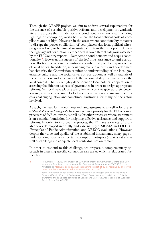Through the GRAPP project, we aim to address several explanations for the absence of sustainable positive reforms and developments. Academic literature argues that EU democratic conditionality in any area, including fight against corruption, works best where the local political costs of compliance are not high. However, in the areas where conditionality threatens to disrupt the power equilibrium of veto players (i.e. local political elites), progress is likely to be limited or unstable.11 From the EU's point of view, the fight against corruption is embedded in two different categories assessed by the EU Country reports – Democratic conditionality and acquis conditionality<sup>12</sup>. However, the success of the EC in its assistance to anti-corruption efforts in the accession countries depends greatly on the responsiveness of local actors. In addition, in designing realistic reforms and development benchmarks, the Commission requires an understanding of the local governance culture and the social drivers of corruption, as well as analysis of the effectiveness and efficiency of the accountability mechanisms in the local context. The EC is highly dependent on local political cooperation in assessing the different aspects of governance in order to design appropriate reforms. Yet local veto players are often reluctant to give up their power, leading to a variety of roadblocks to democratization and making the process challenging, slow and sometimes frustrating for many of the actors involved.

As such, the need for in-depth research and assessment, as well as for the *development of process tracing tools,* has emerged as a priority for the EU accession processes of WB countries, as well as for other processes where assessment is an essential foundation for designing effective assistance and support to reforms. In order to improve the process, the EC uses a variety of available tools developed internally and externally (i.e. SIGMA and OECD´s 'Principles of Public Administration' and GRECO evaluations). However, despite the value and quality of the established instruments, many gaps in understanding specifics in certain corruption hot-spots (i.e. *state capture*) as well as challenges to adequate local contextualization remain.

In order to respond to this challenge, we propose a complementary approach in assessing specific corruption risk areas, which is elaborated further here.

| 11 | Podumljak, M. (2016) The Impact of EU Conditionality on Corruption Control and Gov-<br>ernance in Bosnia and Herzegovina. 7th Framework Programme: ANTICORRP project.<br>Available at: http://anticorrp.eu/publications/the-impact-of-eu-conditionality-on-corrup<br>tion-control-and-governance-in-bosnia-and-herzegovina/. |
|----|------------------------------------------------------------------------------------------------------------------------------------------------------------------------------------------------------------------------------------------------------------------------------------------------------------------------------|
| 12 | Term Democratic conditionality mostly refers to Copenhagen criteria as explained in:<br>Schimmelfennig, F. and U. Sedelmeier (2004) Governance by conditionality: EU rule<br>transfer to the candidate countries of Central and Eastern Europe, Journal of European<br>Public Policy 11/4: 661-679.                          |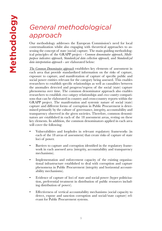## <span id="page-8-0"></span>*General methodological approach*

Our methodology addresses the European Commission's need for local contextualization whilst also engaging with theoretical approaches to assessing the concept of state (social) capture. The main guiding methodological principles of the GRAPP project - *Common denominator approach*, *Multipurpose indicators approach, Standardized data collection approach,* and *Standardized data interpretation approach* - are elaborated below:

*The Common Denominator approach* establishes key elements of assessment in each area that provide standardized information on the risks of capture, exposure to capture, and manifestation of capture of specific public and social power entities relevant for the category being assessed. This enables researchers to establish specific relationships as well as causalities between the anomalies detected and progress/regress of the social (state) capture phenomena over time. The common denominator approach also enables researchers to establish *cross-category* relationships and *cross-country* comparisons that can be elaborated in country and cross-country reports within the GRAPP project. The manifestation and systemic nature of social (state) capture and different forms of corruption in Public Procurement is determined primarily by the culture of governance, integrity, accountability and transparency observed in the given societies. Therefore, common denominators are established in each of the 18 assessment areas, resting on these key elements. In addition, the common denominators applied in each area will cover the following:

- Vulnerabilities and loopholes in relevant regulatory frameworks (in each of the 18 areas of assessment) that create risks of capture of state loci of power.
- Barriers to capture and corruption identified in the regulatory framework in each assessed area (integrity, accountability and transparency mechanisms).
- Implementation and enforcement capacity of the existing organisational infrastructure established to deal with corruption and capture phenomena in Public Procurement (integrity and horizontal accountability mechanisms).
- Evidence of capture of loci of state and social power (hyper politicisation, preferential treatment in distribution of public resources including distribution of power).
- Effectiveness of vertical accountability mechanisms (social capacity to detect, expose and sanction corruption and social/state capture) relevant for Public Procurement systems.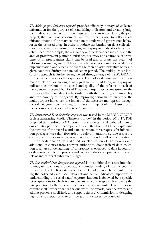*The Multi-purpose Indicators approach* provides efficiency in usage of collected information for the purpose of establishing indicators and creating judgments about country status in each assessed area. As tested during the pilot project, the quality of assessments will rely on being able to collect a significant amount of primary source data to understand governance behavior in the assessed area. In order to reduce the burden on data collection systems and national administrations, multi-purpose indicators have been established. For example, the regulatory and performance indicators in the area of procurement planning (existence, accuracy and assurance of transparency of procurement plans) can be used also to assess the quality of information management. This approach preserves resources needed for implementation and lessens the overall burden on administrative bodies in given countries during the data collection period. The multi-purpose indicators approach is further strengthened through usage of PSD's GRAPP IT Tool which provides the experts and levels of evaluation with the information relevant for making quality judgments. In addition, multi-purpose indicators contribute to the speed and quality of the reforms in each of the countries covered by GRAPP as they target specific measures in the PP system that have direct relationships with the integrity, accountability and transparency of the system. By improving performance on one of the multi-purpose indicators, the impact of the measure may spread through several categories, contributing to the overall impact of EU Assistance to the accession countries in chapters 23 and 24.

*The Standardized Data Collection approach* was tested in the MEDIA CIRCLE project (measuring Media Clientelism Index) in the period 2013-17. PSD prepared standardized FOIA requests for data sets and distributed them to our country partners. Accompanied by a letter from DG Near explaining the purpose of the exercise and data collection, these requests for information packages were duly forwarded to relevant authorities. The respective country authorities were given 45 days to respond to all of the questions, with an additional 45 days allowed for clarification of the requests and additional responses from relevant authorities. Standardized data collection facilitates understanding of discrepancies observed to date in country evaluations by different projects and facilitates the development of different sets of indicators at subsequent stages.

*The Standardized Data Interpretation approach* is an additional measure intended to mitigate variations and deviations in understanding of specific country situations. The IT Tool established by PSD guides researchers in interpreting the collected data. Each data set and set of indicators important to understanding the social (state) capture situation is followed by a specific set of questions to which researchers are asked to respond. Narrowing the interpretation to the aspects of contextualization most relevant to social capture shall further enhance the quality of the reports, ease the review and editing process established, and support the EU Commission in designing high-quality assistance to reform programs for accession countries.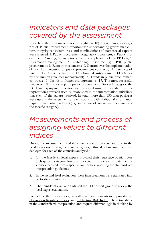### <span id="page-10-0"></span>*Indicators and data packages covered by the assessment*

In each of the six countries covered, eighteen (18) different areas/ categories of Public Procurement important for understanding governance culture, integrity eco system, risks and manifestations of state/social capture were assessed: 1. Public Procurement Regulatory Ecosystem; 2. Public Procurement Planning; 3. Exceptions from the application of the PP Law; 4. Information management; 5. Pre-bidding; 6. Contracting; 7. Petty public procurement; 8. Remedy mechanisms; 9. Control over the implementation of law; 10. Execution of public procurement contracts; 11. Conflicts of interest; 12. Audit mechanisms; 13. Criminal justice system; 14. Capacity and human resources management; 15. Trends in public procurement contracts; 16. Trends in framework agreements; 17. The most successful tenderers; 18. Trends in petty public procurement. For each category, the set of multi-purpose indicators were assessed using the standardized interpretation approach used as established in the interpretation guidelines that each of the experts received. In total, more than 130 data packages were used in the assessment of each country, with additional information requests made where relevant (e.g., in the case of inconclusive opinion over the specific category).

### *Measurements and process of assigning values to different indices*

During the measurement and data interpretation process, and due to the need to valorise or weight certain categories, a three-level measurement was deployed for each of the countries analysed :

- 1. On the first level, local experts provided their respective opinion over each specific category based on collected primary source data (i.e. responses received from respective authorities), applying the standardized interpretation guidelines.
- 2. In the second-level evaluation, these interpretations were translated into vector-based distances.
- 3. The third-level evaluation utilised the PSD expert group to review the local expert evaluations.

For each of the 18 categories, two different measurements were provided:  $\underline{a}$ ) Corruption Resistance Index and b) Capture Risk Index. These two differ in the standardized interpretation and require different logic in thinking by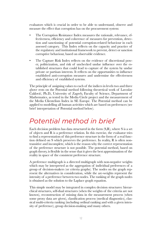<span id="page-11-0"></span>evaluators which is crucial in order to be able to understand, observe and measure the effect that corruption has on the procurement system:

- The Corruption Resistance Index measures the rationale, relevance, effectiveness, efficiency and coherence of measures for prevention, detection and sanctioning of potential corruption-related behaviour in each assessed category. This Index reflects on the capacity and practice of the regulatory and institutional framework to prevent, detect or sanction corruptive behaviour, based on observable evidence.
- The Capture Risk Index reflects on the evidence of discretional power, politicization, and risk of unchecked undue influence over the established structures that could lead to capture of the system by undue private or partisan interests. It reflects on the opportunities to influence established anti-corruption measures and undermine the effectiveness and efficiency of established systems.

The principle of assigning values to each of the indices in levels two and three above rests on the Potential method following theoretical work of Lavoslav Čaklović, Ph.D., University of Zagreb, Faculty of Science, Department of Mathematics, as tested in the Media Circle project and the measurement of the Media Clientelism Index in SE Europe. The Potential method can be applied to modelling all human activities which are based on preferences (see brief interpretation of Potential method below).

### *Potential method in brief*

Each decision problem has data structured in the form (S,R), where S is a set of objects and  $\overline{R}$  is a preference relation. In this exercise, the evaluator tries to find a representation of this preference structure in the form of a real function defined on S which preserves the preference. In reality, R is often nontransitive and incomplete, which is the reason why the correct representation of the preference structure is not possible. The potential method, based on graph theory, is flexible in the sense that it gives the best approximation of the reality in space of the consistent preference structure.

A preference multigraph is a directed multigraph with non-negative weights which may be interpreted as the aggregation of individual preferences of a group of decision-makers (or criteria graphs). The nodes on the graph represent the alternatives in consideration, while the arc-weights represent the intensity of a preference between two nodes. The ranking of the graph nodes is obtained as the solution to the Laplace graph equation.

This simple model may be integrated in complex decision structures: hierarchical structures, self-dual structures (when the weights of the criteria are not known), reconstruction of missing data in the measurement process (when some proxy data are given), classification process (medical diagnostics), classical multi-criteria ranking (including ordinal ranking and with a given intensity of preference), group decision-making and many others.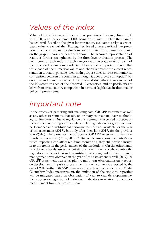### <span id="page-12-0"></span>*Values of the index*

Values of the index are arithmetical interpretations that range from  $-1,00$ to  $+1,00$ , with the extreme  $(1,00)$  being an infinite number that cannot be achieved. Based on the given interpretation, evaluators assign a vectorbased value to each of the 18 categories, based on standardized interpretation. Their vector-based evaluations are translated in to numerical based on the graph theories as described above. The accurate representation of reality is further strengthened by the three-level evaluation process. The final score for each index in each category is an average value of each of the three level evaluations conducted. However, it is important to note that while each of the numerical values and charts represent the closest representation to reality possible, their main purpose does not rest on numerical comparison between the countries (although it does provide this option) but on visual and numerical value of the observed strengths and weaknesses of the PP system in each of the observed 18 categories, and on possibilities to learn from cross-country comparison in terms of legislative, institutional or policy improvements.

## *Important note*

In the process of gathering and analysing data, GRAPP assessment as well as any other assessments that rely on primary source data, have methodological limitations. Due to regulation and commonly accepted practices on the statistical reporting statistical data including data on budgets, economic performance and institutional performance were not available for the year of the assessment (2017), but only after then June 2017, for the previous year (2016). Therefore, for the purpose of GRAPP assessment, three-year trends were observed (2014, 2015, 2016). While limitations in country's statistical reporting can affect real-time monitoring, they still provide insight in to the trends in the performance of the institutions. On the other hand, in order to properly assess current state of play in each specific country, the regulatory framework, as well as institutional setting and human resources management, was observed in the year of the assessment as well (2017). As GRAPP assessment was set as pilot to multi-year observations (new report on developments in public procurement in each country is expected by the end of 2018 within GRASP framework), based on experience in our Media Clientelism Index measurement, the limitation of the statistical reporting will be mitigated based on observation of year to year developments i.e. the progress or regression of individual indicators in relation to the index measurement from the previous year.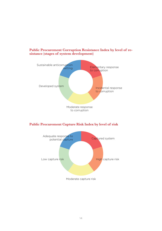

#### **Public Procurement Corruption Resistance Index by level of resistance (stages of system development)**

#### **Public Procurement Capture Risk Index by level of risk**

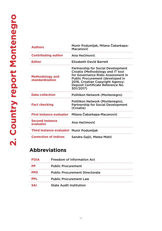<span id="page-14-0"></span>

| <b>Authors</b>                            | Munir Podumljak, Milana Čabarkapa-<br>Macanović                                                                                                                                                                                                      |
|-------------------------------------------|------------------------------------------------------------------------------------------------------------------------------------------------------------------------------------------------------------------------------------------------------|
| <b>Contributing author</b>                | Ana Hećimović                                                                                                                                                                                                                                        |
| <b>Editor</b>                             | <b>Elizabeth David Barrett</b>                                                                                                                                                                                                                       |
| <b>Methodology and</b><br>standardization | <b>Partnership for Social Development</b><br>Croatia (Methodology and IT tool<br>for Governance Risks Assessment in<br><b>Public Procurement (developed in</b><br>2016, Croatian Copyright Agency:<br>Deposit Certificate Reference No.<br>301/2017) |
| <b>Data collection</b>                    | Politikon Network (Montenegro)                                                                                                                                                                                                                       |
| <b>Fact checking</b>                      | Politikon Network (Montenegro),<br><b>Partnership for Social Development</b><br>(Croatia)                                                                                                                                                            |
| <b>First instance evaluator</b>           | Milana Čabarkapa-Macanović                                                                                                                                                                                                                           |
| <b>Second instance</b><br>evaluator       | Ana Hećimović                                                                                                                                                                                                                                        |
| Third instance evaluator Munir Podumljak  |                                                                                                                                                                                                                                                      |
| <b>Correction of indices</b>              | Sandra Gajić, Matea Matić                                                                                                                                                                                                                            |

### **Abbreviations**

| <b>FOIA</b> | Freedom of Information Act            |
|-------------|---------------------------------------|
| РP          | <b>Public Procurement</b>             |
| <b>PPD</b>  | <b>Public Procurement Directorate</b> |
| <b>PPL</b>  | <b>Public Procurement Law</b>         |
| <b>SAI</b>  | <b>State Audit Institution</b>        |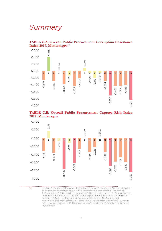### *Summary*

#### **TABLE C.A. Overall Public Procurement Corruption Resistance Index 2017, Montenegro**<sup>13</sup>







13 1. Public Procurement Regulatory Ecosystem; 2. Public Procurement Planning; 3. Excep-

tions from the application of the PPL; 4. Information management; 5. Pre-bidding; 6. Contracting; 7. Petty public procurement; 8. Remedy mechanisms; 9. Control over the implementation of law; 10. Execution of public procurement contracts; 11. Conflict of interests; 12. Audit mechanisms; 13. Criminal justice system; 14. Capacity and human resources management; 15. Trends in public procurement contracts; 16. Trends in framework agreements; 17. The most successful tenderers; 18. Trends in petty public procurement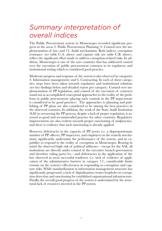## *Summary interpretation of overall indices*

The Public Procurement system in Montenegro recorded significant progress in the areas 2. Public Procurement Planning; 9. Control over the implementation of law; and 12. Audit mechanisms. Both indices, corruption resistance (see table C.A. above) and capture risk (see table C.B. above), reflect the significant effort made to address corruption-related risks. In addition, Montenegro is one of the rare countries that has addressed control over the execution of public procurement contracts in its regulatory and institutional setting which is considered good practice.

Moderate progress and response of the system is also observed in categories 4. Information management; and 6. Contracting. In each of these categories, steps have been taken towards regulatory and institutional solutions (see key findings below and detailed report per category). Control over implementation of PP legislation, and control of the execution of contracts stand out as accomplished conceptual approaches to the reality of the problems in public procurement (placing such controls in the PP inspectorate is considered to be good practice). The approaches to planning and publishing of PP plans are also considered to be among the best practices in the observed countries. In addition, the work of the State Audit Institution (SAI) in overseeing the PP process, despite a lack of proper regulation, is assessed as good and recommended practice for other countries. Regulatory improvements are also evident towards proper sanctioning of malpractice, and there is evidence that such sanctioning is already applied.

However, deficiencies in the capacity of PP actors (i.e. a disproportionate number of PP officers, PP inspectors, and employees in the remedy mechanism) significantly undermine the performance of the system, and its capability to respond to the reality of corruption in Montenegro. Bearing in mind the observed high risk of political influence - except for the SAI, all institutions are directly under control of the executive branch government and therefore ruling party/ies - and deficiencies in the application of the law observed in most successful tenderers (i.e. lack of evidence of application of the administrative barriers in category 17), considerable limits remain on the system's effectiveness in responding to corruption and capture risks. While standardization in information management structure has significantly progressed, a lack of digitalization creates loopholes in corruption detection and sanctioning for established organizational infrastructure. Finally, the overall good progress of the system is undermined by the structural lack of resources invested in the PP system.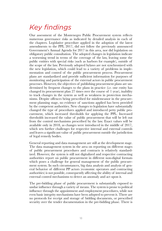## *Key findings*

Our assessment of the Montenegro Public Procurement system reflects numerous governance risks as indicated by detailed analysis in each of the chapters. Legislative procedure applied in the adoption of the latest amendments to the PPL 2017, did not follow the previously announced Government's Annual Agenda for 2017 in this area, nor did legislation on obligatory public consultation. The adopted changes in legislation indicate a worsening trend in terms of the coverage of the law, leaving some the public entities with special risks (such as harbors for example), outside of the scope of the law. Previously adopted bylaws are not synchronized with the new legislation, which could lead to a variety of problems in implementation and control of the public procurement process. Procurement plans are standardized and provide sufficient information for purposes of monitoring and participation of the external actors in public procurement processes. However, the objectives of publishing procurement plans are undermined by frequent changes to the plans in practice (i.e. one entity has changed its procurement plan 27 times over the course of 1 year), inability to track changes in the system as well as weakness in protection mechanisms. Despite offences being prescribed for misdemeanor in the procurement planning stage, no evidence of sanctions applied has been provided by the competent authorities. New changes to legislation have substantially changed the type of procedures applied and introduced petty public procurement, which increased thresholds for applying the PPL. Increased thresholds increased the value of public procurement that will be left out from the control mechanisms prescribed by the law. Exact values will be available only in 2018, as changes were introduced in the middle of 2017, which sets further challenges for respective internal and external controls and leaves a significant value of public procurement outside the jurisdiction of legal remedy bodies.

General reporting and data management are still at the development stage. The data management system in the area on reporting on different stages of public procurement procedures and contracts is relatively standardized. However, the system is still not digitalized and respective contracting authorities report on public procurement in different non-digital formats which poses a challenge for general management of the public procurement system. In such circumstances, big data analysis and analysis of general behavior of different PP actors (economic operators and contracting authorities) is not possible, consequently affecting the ability of internal and external control mechanisms to detect an anomaly and act upon it.

The pre-bidding phase of public procurement is substantially exposed to undue influence through a variety of means. The system is prone to political influence through the appointment and employment procedures, while not even basic integrity mechanisms have been adopted to prevent it. There are no protocols for receipt and storage of bidding documents, or prescribed security over the tender documentation in the pre-bidding phase. There is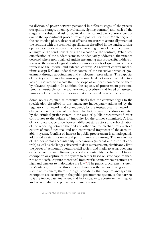no division of power between personnel in different stages of the process (reception, storage, opening, evaluation, signing contract) and each of the stages is in substantial risk of political influence and particularistic control due to the appointment procedures and political reality in Montenegro. In the contracting phase, absence of effective measures to assure alignment of the contract with the technical specification described in the tender, further opens space for deviation in the post contracting phase of the procurement (changes of the conditions during the execution of the contract). While prequalification of the bidders seems to be adequately addressed, the practice detected where non-qualified entities are among most successful bidders in terms of the value of signed contracts raises a variety of questions of effectiveness of the internal and external controls. All relevant control mechanisms except SAI are under direct control of the executive branch of government through appointment and employment procedures. The capacity of the key control mechanisms is questionable, if not inadequate, due to a lack of resources to execute the wide scope of authority conferred on them by relevant legislation. In addition, the capacity of procurement personnel remains unsuitable for the sophisticated procedures and based on assessed numbers of contracting authorities that are covered by recent legislation.

Some key issues, such as thorough checks that the contract aligns to the specification described in the tender, are inadequately addressed by the regulatory framework and consequently by the institutional framework in charge of enforcement of the law. The lack of any procedures initiated by the criminal justice system in the area of public procurement further contributes to the culture of impunity for the crimes committed. A lack of horizontal cooperation between different state actors and subordination of the reporting between the SAI and other control mechanisms creates a culture of non-functional and non-coordinated fragments of the accountability system. Conflict of interest in public procurement is not adequately addressed as statistics on actual performance are missing. The weaknesses of the horizontal accountability mechanisms (internal and external controls) as well as challenges observed in data management, significantly limit the power of economic operators, civil society and media to act as adequate external control and ultimately vertical accountability mechanism. Overall corruption or capture of the system (whether based on state capture theories or the social capture theoretical framework) occurs where resources are high and barriers to malpractice are low<sup>14</sup>. The public procurement system in Montenegro fits into this equation based on the assessed categories. In such circumstances, there is a high probability that capture and systemic corruption are occurring in the public procurement system, as the barriers to it are inadequate, inefficient and lack capacity to scrutinize the integrity and accountability of public procurement actors.

14 See Alina Mungiu Pippidy work in this area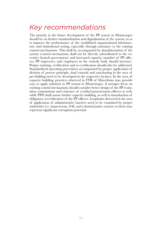## *Key recommendations*

The priority in the future development of the PP system in Montenegro should be on further standardization and digitalization of the system, so as to improve the performance of the established organizational infrastructure and institutional setting, especially through assistance to the existing control mechanisms. This shall be accompanied by depoliticization of the system (control mechanisms shall not be directly subordinated to the executive branch government) and increased capacity (number of PP officers, PP inspectors, and employees in the remedy body should increase). Proper training, certification and re-certification should also be addressed. Standardized operating procedures accompanied by proper application of division of powers principle, dual controls and sanctioning in the area of pre-bidding need to be developed in the respective by-laws. In the area of capacity building, practices observed in FYR of Macedonia may provide easy to apply solutions to PP system in Montenegro. A stronger focus on existing control mechanisms should consider better design of the PP evaluation commissions and existence of certified procurement officers as well, while PPD shall assure further capacity building, as well as introduction of obligatory recertification of the PP officers. Loopholes detected in the area of application of administrative barriers need to be examined by proper authorities (i.e. inspectorate, SAI, and criminal justice system) as these may represent significant corruption potential.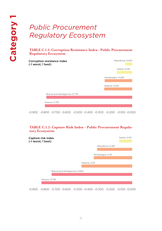## <span id="page-20-0"></span>*Public Procurement Regulatory Ecosystem*

#### **TABLE C.1.1: Corruption Resistance Index - Public Procurement Regulatory Ecosystem**

| Corruption resistance index<br>(-1 worst, 1 best) | Macedonia,-0.063  |
|---------------------------------------------------|-------------------|
|                                                   | Serbia,-0.139     |
|                                                   |                   |
|                                                   | Montenegro,-0.249 |
|                                                   | Albania,-0.255    |
| Bosnia and Herzegovina,-0.778                     |                   |
|                                                   |                   |
| Kosovo,-0.797                                     |                   |
|                                                   |                   |

-0.900 -0.800 -0.700 -0.600 -0.500 -0.400 -0.300 -0.200 -0.100 -0.000

#### **TABLE C.1.2: Capture Risk Index - Public Procurement Regulatory Ecosystem**

| Capture risk index<br>(-1 worst, 1 best) |                |                   | Serbia,-0.110 |
|------------------------------------------|----------------|-------------------|---------------|
|                                          |                | Macedonia,-0.287  |               |
|                                          |                |                   |               |
|                                          |                | Montenegro,-0.311 |               |
|                                          |                |                   |               |
|                                          | Albania,-0.411 |                   |               |
|                                          |                |                   |               |
| Bosnia and Herzegovina,-0.650            |                |                   |               |
|                                          |                |                   |               |
| Kosovo, - 0.750                          |                |                   |               |
|                                          |                |                   |               |

-0.900 -0.800 -0.700 -0.600 -0.500 -0.400 -0.300 -0.200 -0.100 -0.000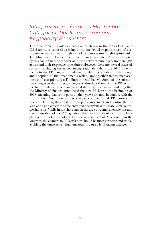### *Interpretation of indices Montenegro Category 1: Public Procurement Regulatory Ecosystem*

The procurement regulatory package, as shown in the tables C.1.1 and C.1.2 above, is assessed as being in the incidental response stage of corruption resistance with a high risk of system capture (high capture risk). The Montenegrin Public Procurement Law (hereinafter: PPL) and adopted bylaws comprehensively cover all of the relevant public procurement (PP) actors and their respective procedures. However, there are several issues of concern, including the unconvincing rationale behind the 2017 amendments to the PP Law, and inadequate public consultation in the design and adoption of the amendments which, among other things, increased the list of exceptions (see Findings in detail below). Some of the substantive changes in the PPL (i.e. changes of thresholds) weaken the PP control mechanisms (because of standardized statistics) especially considering that the Ministry of finance announced the new PP Law at the beginning of 2018, meaning that some parts of the bylaws are now in conflict with the PPL in force. Such practice has a negative impact on all PP actors, considerably limiting their ability to properly implement and control the PP legislation and affects the efficiency and effectiveness of established control mechanisms. While in the short run, in the area of comprehensiveness and synchronization of the PP regulation, the system in Montenegro may benefit from the solutions adopted in Serbia and FYR of Macedonia, in the long run, the changes to PP legislation should be more strategic and stable, avoiding the unnecessary legal uncertainty caused by frequent changes.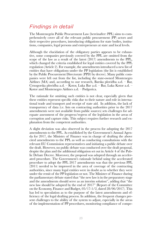### *Findings in detail*

The Montenegrin Public Procurement Law (hereinafter: PPL) aims to comprehensively cover all of the relevant public procurement (PP) actors and their respective procedures, introducing obligations for state bodies, institutions, companies, legal persons and entrepreneurs at state and local levels.

Although the elucidation of the obligatory parties appears to be exhaustive, some companies previously covered by the PPL are omitted from the scope of the law as a result of the latest (2017) amendments to the PPL, which changed the criteria established for legal entities covered by the PPL regulation (Article 2). For example, the amendments introduced a new list of entities that have obligations under the PP legislation (the list is established by the Public Procurement Directorate (PPD) by decree). Many public companies were left out from the list, including the state-owned Montenegro Airlines (MA) and, according to our research, Barska plovidba a.d.  $-\bar{B}$ ar, Crnogorska plovidba a.d. – Kotor, Luka Bar a.d. – Bar, Luka Kotor a.d. – Kotor and Montenegro Airlines a.d. – Podgorica.

The rationale for omitting such entities is not clear, especially given that these entities represent specific risks due to their nature and role in international trade and transport and receipt of state aid. In addition, the lack of transparency of data (i.e. lists on contracting authorities prior to the 2017 amendments were not available from public sources) sets challenges for adequate assessment of the progress/regress of the legislation in the areas of corruption and capture risks. This subject requires further research and explanation from the competent authorities.

A slight deviation was also observed in the process for adopting the 2017 amendments to the PPL. As established by the Government's Annual Agenda for 2017, the Ministry of Finance was in charge of drafting the above cited amendments to the PPL as well as conducting consultations with the relevant EU Commission representatives and initiating a public debate over the draft. However, no public debate was conducted over the draft proposal, despite the plan and the additional obligation set out in Article 4 of the Public Debate Decree. Moreover, the proposal was adopted through an accelerated procedure. The Government's rationale behind using the accelerated procedure to adopt the PPL 2017 amendments was that the previous PPL (2011) needed to be improved in the area of coverage of the contracting authorities, since many legal entities were in doubt as to whether they were under the remit of the PP legislation or not. The Minister of Finance during the parliamentary debate stated that "the new law is in the preparatory stage and the amendments should serve as an interim solution", adding that "the new law should be adopted by the end of 2017" (Report of the Committee on the Economy, Finance and Budget, 05/17-1/2, dated 28/06/2017). This has led to speculation as to the purpose of the latest amendments and efficiency of the legal drafting process. In addition, the frequent changes present challenges to the ability of the system to adjust, especially in the areas of the implementation of PP procedures, monitoring compliance of compe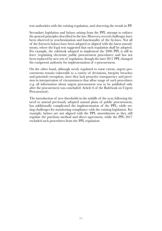tent authorities with the existing regulation, and observing the trends in PP.

Secondary legislation and bylaws arising from the PPL attempt to enforce the general principles described in the law. However, several challenges have been observed in synchronisation and functionality of the by-laws. Not all of the foreseen bylaws have been adopted or aligned with the latest amendments, where the legal text suggested that such regulation shall be adopted. For example, the rulebook adopted to implement the 2006 PPL is still in force (regulating electronic public procurement procedures) and has not been replaced by new sets of regulation, though the later 2011 PPL changed the competent authority for implementation of e-procurement.

On the other hand, although newly regulated to some extent, urgent procurements remain vulnerable to a variety of deviations, integrity breaches and potential corruption, since they lack proactive transparency and precision in interpretation of circumstances that allow usage of such procedures (e.g. all information about urgent procurement was to be published only after the procurement was concluded: Article 6 of the Rulebook on Urgent Procurement).

The introduction of new thresholds in the middle of the year, following the need to amend previously adopted annual plans of public procurement, has additionally complicated the implementation of the PPL, while setting challenges for monitoring compliance with the existing legislation. For example, bylaws are not aligned with the PPL amendments as they still regulate the purchase method and direct agreement, while the PPL 2017 excluded such procedures from the PPL regulation.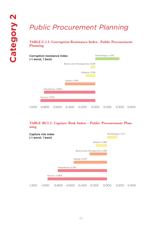## <span id="page-24-0"></span>*Public Procurement Planning*

**TABLE C.2.1: Corruption Resistance Index - Public Procurement Planning**



#### **TABLE BC2.2: Capture Risk Index - Public Procurement Planning**

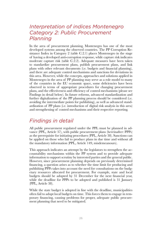### *Interpretation of indices Montenegro Category 2: Public Procurement Planning*

In the area of procurement planning, Montenegro has one of the most developed systems among the observed countries. The PP Corruption Resistance Index in Category 2 (table C.2.1) places Montenegro in the stage of having a developed anti-corruption response, while capture risk indicates moderate capture risk (table C.2.2). Adequate measures have been taken to standardize procurement plans, publish procurement plans, and link plans with other relevant documents (i.e. budgets and financial planning), and there are adequate control mechanisms and sanctions for deviations in this area. However, while the concepts, approaches and solutions applied in Montenegro in the area of PP planning may serve as a role model to many of the countries in the EU economic space, some deficiencies have been observed in terms of appropriate procedures for changing procurement plans, and the effectiveness and efficiency of control mechanisms (please see Findings in detail below). In future reforms, advanced standardization and further digitalization of the PP planning process should be considered (i.e. avoiding the intermediate points for publishing), as well as advanced standardization of PP plans (i.e. introduction of digital risk analysis in this area) and strengthening of control mechanisms and their respective reporting.

### *Findings in detail*

All public procurement regulated under the PPL must be planned in advance (PPL, Article 37), with public procurement plans (hereinafter: PPPs) as the prerequisite for initiating procedures (PPL, Article 38). Sanctions can be applied on those who fail to produce plans in due time and without all the mandatory information (PPL, Article 149, misdemeanours).

This approach indicates an attempt by the legislators to strengthen the accountability mechanisms within the PP system and to provide adequate information to support scrutiny by interested parties and the general public. However, since procurement planning depends on previously determined financing, a question arises as to whether the time limit for producing and publishing PPPs takes into account the need for consultations on the budgetary resources allocated for procurement. For example, state and local budgets should be adopted by 31 December for the next financial year, while the deadline for PPPs to be adopted and published is 31 January (PPL, Article 38).

While the state budget is adopted in line with the deadline, municipalities often fail to adopt local budgets on time. This forces them to engage in temporary financing, causing problems for proper, adequate public procurement planning that need to be mitigated.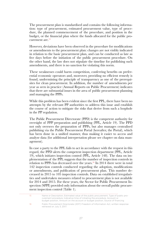The procurement plan is standardised and contains the following information: type of procurement, estimated procurement value, type of procedure, the planned commencement of the procedure, and position in the budget, or the financial plan where the funds allocated for the public procurement are.<sup>15</sup>

However, deviations have been observed in the procedure for modifications or amendments to the procurement plan: changes are not visibly indicated in relation to the basic procurement plan, and can be conducted as late as five days before the initiation of the public procurement procedure. On the other hand, the law does not stipulate the timeline for publishing such amendments, and there is no sanction for violating this norm.

These weaknesses could harm competition, conferring benefits on preferential economic operators and, moreover, providing no efficient remedy is found, undermining the principle of transparency as one of the prerequisites for clean procurement. In addition, the number of amendments per year as seen in practice (Annual Reports on Public Procurement) indicates that there are substantial issues in the area of public procurement planning and managing the PPPs.

While this problem has been evident since the first PPL, there have been no attempts by the relevant PP authorities to address this issue and establish the course of action to mitigate the risks that derive from such a loophole in the PP regulation.

The Public Procurement Directorate (PPD) is the competent authority for oversight of PPP preparation and publishing (PPL, Article 19). The PPD not only oversees the preparation of PPPs, but also manages centralised publishing via the Public Procurement Portal (hereafter, the Portal), which has been done in a unified manner, thus making it easier to access and analyse data (for additional interpretation please see chapter on data management).

In case a party to the PPL fails to act in accordance with the request in this regard, the PPD alerts the competent inspection department (PPL, Article 19), which initiates inspection control (PPL, Article 148). The data on implementation of the PPL suggests that the number of inspection controls in relation to PPPs has decreased over the years.<sup>16</sup> In 2014 there were in total 142 inspection controls conducted regarding the adoption, modifications or amendments, and publication of procurement plan. This number decreased in 2015 to 105 inspection controls. Data on established irregularities and undertaken measures related to procurement plan is not available for 2014 and 2015. For these years, the Sector for Public Procurement Inspection (SPPI) provided only information about the overall public procurement inspection control (Table 1).

| -15 - | Name or Description, Estimated value of the public procurement, Type of public pro-<br>curement procedure, Indicative time of initiating the procedure, Account or<br>budget position, Amount on the account or budget position, Source of financing |
|-------|------------------------------------------------------------------------------------------------------------------------------------------------------------------------------------------------------------------------------------------------------|
| 16.   | Public Procurement Directorate (2017) Freedom of Information Act, written response<br>retrieved on July 3, 2017.                                                                                                                                     |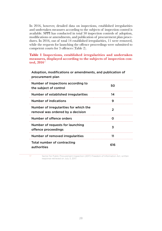In 2016, however, detailed data on inspections, established irregularities and undertaken measures according to the subjects of inspection control is available. SPPI has conducted in total 50 inspection controls of adoption, modifications or amendments, and publication of procurement plan procedures. In 2016, out of total 14 established irregularities, 11 were removed, while the requests for launching the offence proceedings were submitted to competent courts for 3 offences (Table 2).

**Table 1 Inspections, established irregularities and undertaken measures, displayed according to the subjects of inspection control, 2016**<sup>17</sup>

Adoption, modifications or amendments, and publication of procurement plan Number of inspections according to 50 the subject of control states and the subject of control states of control states and the subject of control states of  $\sim$ Number of established irregularities 14 Number of indications 9 Number of irregularities for which the  $\mathcal{P}$ removal was ordered by a decision Number of offence orders 0 Number of requests for launching 3 offence proceedings Number of removed irregularities 11 Total number of contracting 616 authorities

. . . . . . . . . . . . . . . . . 17 Sector for Public Procurement Inspection (2017) Freedom of Information Act, written response retrieved on July 3, 2017.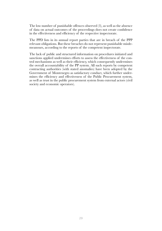The low number of punishable offences observed (3), as well as the absence of data on actual outcomes of the proceedings does not create confidence in the effectiveness and efficiency of the respective inspectorate.

The PPD lists in its annual report parties that are in breach of the PPP relevant obligations. But these breaches do not represent punishable misdemeanours, according to the reports of the competent inspectorate.

The lack of public and structured information on procedures initiated and sanctions applied undermines efforts to assess the effectiveness of the control mechanisms as well as their efficiency, which consequently undermines the overall accountability of the PP system. All such reports by competent contracting authorities (with stated anomalies) have been adopted by the Government of Montenegro as satisfactory conduct, which further undermines the efficiency and effectiveness of the Public Procurement system, as well as trust in the public procurement system from external actors (civil society and economic operators).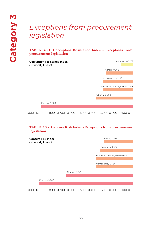### <span id="page-29-0"></span>*Exceptions from procurement legislation*

#### **TABLE C.3.1: Corruption Resistance Index - Exceptions from procurement legislation**



-1.000 -0.900 -0.800 -0.700 -0.600 -0.500 -0.400 -0.300 -0.200 -0.100 0.000

#### **TABLE C.3.2: Capture Risk Index - Exceptions from procurement legislation**

| Capture risk index<br>(-1 worst, 1 best) |                | Serbia,-0.281                 |
|------------------------------------------|----------------|-------------------------------|
|                                          |                | Macedonia,-0.317              |
|                                          |                | Bosnia and Herzegovina,-0.351 |
|                                          |                | Montenegro,-0.354             |
|                                          | Albania,-0.641 |                               |
| Kosovo,-0.900                            |                |                               |

-1.000 -0.900 -0.800 -0.700 -0.600 -0.500 -0.400 -0.300 -0.200 -0.100 0.000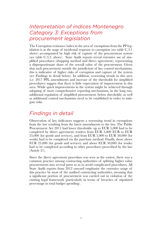### *Interpretation of indices Montenegro Category 3: Exceptions from procurement legislation*

The Corruption resistance index in the area of exemptions from the PP legislation is at the stage of incidental response to corruption (see table C.3.1 above) accompanied by high risk of capture of the procurement system (see table C.3.2. above). State Audit reports reveal extensive use of simplified procedures (shopping method and direct agreement), representing a disproportionate share of the overall value of the procurement. Given that such procurement outside the jurisdiction of key control mechanisms, this is indicative of higher risks of corruption and capture of the system (see Findings in detail below). In addition, worsening trends in this area (i.e. 2017 PPL amendments and increase of the thresholds for simplified procedures) suggest that there is little expectation of improvement in this area. While quick improvements in the system might be achieved through adopting of more comprehensive reporting mechanisms, in the long run, additional regulation of simplified procurement (below thresholds) as well as additional control mechanisms need to be established in order to mitigate risks.

### *Findings in detail*

Observation of key indicators suggests a worsening trend in exemptions from the law resulting from the latest amendments to the law. The Public Procurement Act 2011 had lower thresholds: up to EUR 5,000 had to be completed by direct agreement; tenders from EUR 5,000 EUR to EUR 25,000 (for goods and services), and from EUR 5,000 to EUR 50,000 (for works) had to be completed via the purchase method. Finally, those above EUR 25,000 (for goods and services) and above EUR 50,000 (for works) had to be completed according to other procedures prescribed by the law (Article 21).

Since the direct agreement procedure was seen as the easiest, there was a common practice among contracting authorities of splitting higher value procurements into several parts so as to avoid complicated procedures. All State Audit reports from 2012 onward emphasise the extensive usage of this practice by most of the audited contracting authorities, meaning that a significant portion of procurement was carried out in violation of the existing legal framework (particularly in terms of breaches of stipulated percentage in total budget spending).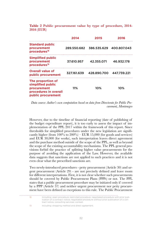| Table 2 Public procurement value by type of procedure, 2014- |  |  |  |
|--------------------------------------------------------------|--|--|--|
| <b>2016 (EUR)</b>                                            |  |  |  |

|                                                                                                      | 2014        | 2015        | 2016        |
|------------------------------------------------------------------------------------------------------|-------------|-------------|-------------|
| <b>Standard public</b><br>procurement<br>procedures <sup>18</sup>                                    | 289.550.682 | 386.535.629 | 400.807.043 |
| <b>Simplified public</b><br>procurement<br>procedures <sup>19</sup>                                  | 37.610.957  | 42.355.071  | 46.932.178  |
| <b>Overall value of</b><br>public procurement                                                        | 327.161.639 | 428.890.700 | 447.739.221 |
| The proportion of<br>simplified public<br>procurement<br>procedures in overall<br>public procurement | 11%         | 10%         | 10%         |

*Data source: Author's own computation based on data from Directorate for Public Procurement, Montenegro*

However, due to the timeline of financial reporting (date of publishing of the budget expenditure report), it is too early to assess the impact of implementation of the PPL 2017 within the framework of this report. Since thresholds for simplified procedures under the new legislation are significantly higher (from  $100\%$  to  $200\%$ ) – EUR 15,000 (for goods and services) and EUR 30,000 (for works), such interpretation leaves direct agreement and the purchase method outside of the scope of the PPL, as well as beyond the scope of the existing accountability mechanisms. The PPL general provisions forbid the practice of splitting higher value procurements for the purpose of avoiding the application of the Law. However, the available data suggests that sanctions are not applied to such practices and it is not even clear what the prescribed sanctions are.

Two newly-introduced procedures - petty procurement (Article 30) and urgent procurement (Article 29) - are not precisely defined and leave room for different interpretations. First, it is not clear whether such procurements should be covered by Public Procurement Plans (PPPs) or not. The PPL states that a public procurement procedure may be initiated only if covered by a PPP (Article 37) and neither urgent procurement nor petty procurement have been defined as exceptions to this rule. The Public Procurement

18 Including: open procedure; restricted procedure; negotiated procedure with prior publication of a contract notice; negotiated procedure without prior publication of a contract notice, consulting services; contest.

19 Including: shopping method and direct agreement.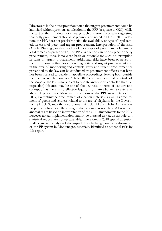Directorate in their interpretation noted that urgent procurements could be launched without previous notification in the PPP (response to Q20), while the text of the PPL does not envisage such exclusions precisely, suggesting that petty procurement should be planned and noted in PP as well. In addition, the PPL does not precisely define the availability or type of legal remedy in cases of petty and urgent procurement. Interpretation of the PPL (Article 134) suggests that neither of these types of procurement fall under legal remedy as prescribed by the PPL. While this can be accepted for petty procurement, there is no clear basis or rationale for such an exemption in cases of urgent procurement. Additional risks have been observed in the institutional setting for conducting petty and urgent procurement also in the area of monitoring and controls. Petty and urgent procurement as prescribed by the law can be conducted by procurement officers that have not been licensed to decide in appellate proceedings, leaving both outside the reach of regular controls (Article 58). As procurement that is outside of the scope of the law is not subject to ex-ante and ex-post controls either (i.e. inspection) this area may be one of the key risks in terms of capture and corruption as there is no effective legal or normative barrier to extensive abuse of procedures. Moreover, exceptions to the PPL were extended in 2017, exempting the procurement of election materials, as well as procurement of goods and services related to the use of airplanes by the Government (Article 3, and other exceptions in Article 111 and 116b). As there was no public debate over the changes, the rationale is not clear. All observed anomalies are based on interpretation of the 2017 amendments to the PPL, however actual implementation cannot be assessed as yet, as the relevant statistical reports are not yet available. Therefore, in 2018 special attention shall be given to analysis of the impact of such changes on the performance of the PP system in Montenegro, especially identified as potential risks by this report.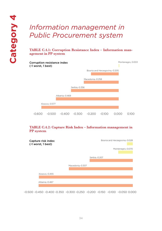## <span id="page-33-0"></span>*Information management in Public Procurement system*

**TABLE C.4.1: Corruption Resistance Index – Information management in PP system**



#### **TABLE C.4.2: Capture Risk Index – Information management in PP system**

| Capture risk index<br>(-1 worst, 1 best) |                  | Bosnia and Herzegovina,-0.028 |  |
|------------------------------------------|------------------|-------------------------------|--|
|                                          |                  | Montenegro,-0.070             |  |
|                                          |                  | Serbia,-0.207                 |  |
|                                          |                  |                               |  |
|                                          | Macedonia,-0.307 |                               |  |
|                                          |                  |                               |  |
| Kosovo,-0.455                            |                  |                               |  |
|                                          |                  |                               |  |
| Albania,-0.467                           |                  |                               |  |
|                                          |                  |                               |  |

-0.500 -0.450 -0.400 -0.350 -0.300 -0.250 -0.200 -0.150 -0.100 -0.050 0.000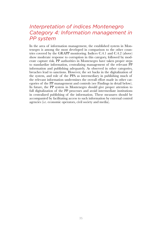### *Interpretation of indices Montenegro Category 4: Information management in PP system*

In the area of information management, the established system in Montenegro is among the most developed in comparison to the other countries covered by the GRAPP monitoring. Indices C.4.1 and C.4.2 (above) show moderate response to corruption in this category, followed by moderate capture risk. PP authorities in Montenegro have taken proper steps to standardize information, centralizing management of the relevant PP information and publishing adequately. As observed in other categories, breaches lead to sanctions. However, the set backs in the digitalization of the system, and role of the PPA as intermediary in publishing much of the relevant information undermines the overall effort made in other categories of the PP management and controls (see Findings in detail below). In future, the PP system in Montenegro should give proper attention to full digitalization of the PP processes and avoid intermediate institutions in centralized publishing of the information. These measures should be accompanied by facilitating access to such information by external control agencies (i.e. economic operators, civil society and media).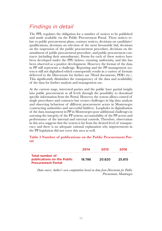### *Findings in detail*

The PPL regulates the obligation for a number of notices to be published and made available via the Public Procurement Portal. These notices relate to public procurement plans, contract notices, decisions on candidates' qualifications, decisions on selection of the most favourable bid, decisions on the suspension of the public procurement procedure, decisions on the annulment of public procurement procedure, and public procurement contracts (including their amendments). Forms for each of these notices have been developed under the PPL bylaws, ensuring uniformity, and this has been observed as a positive development. However, the format of the data in PP still represents a challenge. Reporting and the PP management system is still not digitalised which consequently results in a variety of formats delivered to the Directorate for further use (Word documents, PDFs etc.). This significantly diminishes the transparency of the data and availability of the data for further analysis and management use.

At the current stage, interested parties and the public have partial insight into public procurement at all levels through the possibility to download specific information from the Portal. However, the system allows control of single procedures and contracts but creates challenges in big data analysis and observing behaviour of different procurement actors in Montenegro (contracting authorities and successful bidders). Loopholes in digitalisation of the data management in PP in Montenegro pose additional challenges in assessing the integrity of the PP system, accountability of the PP actors and performance of the internal and external controls. Therefore, observation in this area suggests that the system is far from the desired level of transparency and there is no adequate rational explanation why improvements in the PP legislation did not cover this area as well.

#### **Table 3 Number of publications on the Public Procurement Portal**

|                                                                                          | 2014   | 2015   | 2016   |
|------------------------------------------------------------------------------------------|--------|--------|--------|
| <b>Total number of</b><br><b>publications on the Public</b><br><b>Procurement Portal</b> | 18.786 | 20.820 | 25.815 |

 *Data source: Author's own computation based on data from Directorate for Public Procurement, Montenegro*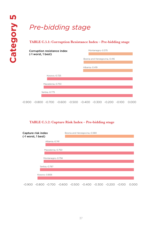# *Pre-bidding stage*

#### **TABLE C.5.1: Corruption Resistance Index – Pre-bidding stage**



#### **TABLE C.5.2: Capture Risk Index – Pre-bidding stage**



-0.900 -0.800 -0.700 -0.600 -0.500 -0.400 -0.300 -0.200 -0.100 0.000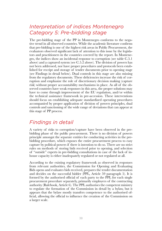## *Interpretation of indices Montenegro Category 5: Pre-bidding stage*

The pre-bidding stage of the PP in Montenegro conforms to the negative trend in all observed countries. While the academic literature confirms that pre-bidding is one of the highest risk areas in Public Procurement, the evaluators observed significant lack of attention to this issue by the legislators and practitioners in the countries covered by the report. In Montenegro, the indices show an incidental response to corruption (see table C.5.1 above) and a captured system (see C.5.2 above). The division of powers has not been addressed, nor have proper procedures and protocols been established for receipt and storage of tender documents prior to opening stage (see Findings in detail below). Dual controls in this stage are also missing from the regulatory documents. These deficiencies increase the risk of corruption and emphasize the role of discretionary decision making (capture risk) without proper accountability mechanisms in place. As all of the observed countries have weak responses in this area, the proper solutions may have to come through improvement of the EU regulation, and/or within the technical assistance framework in pre-accession. These interventions should focus on establishing adequate standardized operating procedures accompanied by proper application of division of powers principles, dual controls and sanctioning of the wide range of deviations that can appear at this stage of PP process.

## *Findings in detail*

A variety of risks to corruption/capture have been observed in the prebidding phase of the public procurement. There is no division of powers principle amongst the separate entities for conducting activities in the prebidding procedure, which exposes the entire procurement process to easy capture by political powers if there is intention to do so. There are no strict rules on methods of storing bids received prior to opening, and selection of "outside" experts in pre-bidding consultations in case of the lack of inhouse capacity is either inadequately regulated or not regulated at all.

According to the existing regulatory framework as observed in responses from relevant authorities, the Commission for Opening and Evaluating Bids opens and evaluates bids received, prepares the tender documentation and decides on the successful bidder (PPL, Article 59 paragraph 5). It is formed by the authorised official of each party to the PPL for each single procurement procedure separately, primarily employees of the contracting authority (Rulebook, Article 6). The PPL authorises the competent ministry to regulate the formation of the Commission in detail by a bylaw, but it appears that the bylaw mostly transfers competence to the authorised official, allowing the official to influence the creation of the Commission on a larger scale.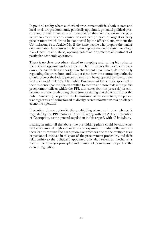In political reality, where authorised procurement officials both at state and local levels are predominantly politically appointed, potential political pressure and undue influence - on members of the Commission or the public procurement officer - cannot be excluded (in cases of urgent or petty procurement which are to be conducted by the officer alone, without the Commission, PPL, Article 58). If the same people who prepare the tender documentation later assess the bids, this exposes the entire system to a high risk of capture and abuse, opening potential for preferential treatment of particular economic operators.

There is no clear procedure related to accepting and storing bids prior to their official opening and assessment. The PPL states that for such procedures, the contracting authority is in charge, but there is no by-law precisely regulating the procedure, and it is not clear how the contracting authority should protect the bids to prevent them from being opened by non-authorised persons (Article 97). The Public Procurement Directorate specified in their response that the person entitled to receive and store bids is the public procurement officer, which the PPL also states (but not precisely) in connection with the pre-bidding phase (simply stating that the officer stores the bids – Article 58). As part of the Commission at the same time, the person is at higher risk of being forced to divulge secret information to a privileged economic operator.

Prevention of corruption in the pre-bidding phase, as in other phases, is regulated by the PPL (Articles 15 to 18), along with the Act on Prevention of Corruption, as the general regulation in this regard, with all its bylaws.

Bearing in mind all the above, the pre-bidding phase could be characterised as an area of high risk in terms of exposure to undue influence and therefore to capture and corruption-like practices due to the multiple tasks of personnel involved in this part of the procurement procedure, and their relationship to the politically appointed officials. Prevention mechanisms such as the four-eyes principles and division of powers are not part of the current regulation.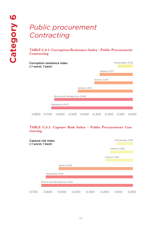$(-1)$ 

# *Public procurement Contracting*

#### **TABLE C.6.1: Corruption Resistance Index – Public Procurement Contracting**

| Corruption resistance index<br>(-1 worst, 1 best) | Montenegro,-0.125 |
|---------------------------------------------------|-------------------|
|                                                   | Albania,-0.271    |
|                                                   |                   |
|                                                   | Kosovo,-0.315     |
|                                                   |                   |
| Serbia,-0.450                                     |                   |
|                                                   |                   |
| Bosnia and Herzegovina,-0.646                     |                   |
|                                                   |                   |
| Macedonia,-0.671                                  |                   |
|                                                   |                   |
|                                                   |                   |

-0.800 -0.700 -0.600 -0.500 -0.400 -0.300 -0.200 -0.100 0.000

#### **TABLE C.6.2: Capture Risk Index – Public Procurement Contracting**

|          | Capture risk index<br>(-1 worst, 1 best) |                               |        |          |          | Montenegro,-0.116 |  |
|----------|------------------------------------------|-------------------------------|--------|----------|----------|-------------------|--|
|          |                                          |                               |        |          |          | Albania,-0.159    |  |
|          |                                          |                               |        |          |          | Kosovo,-0.192     |  |
|          |                                          |                               |        |          |          |                   |  |
|          |                                          | Serbia, - 0.522               |        |          |          |                   |  |
|          |                                          |                               |        |          |          |                   |  |
|          |                                          | Macedonia,-0.631              |        |          |          |                   |  |
|          |                                          |                               |        |          |          |                   |  |
|          |                                          | Bosnia and Herzegovina,-0.647 |        |          |          |                   |  |
|          |                                          |                               |        |          |          |                   |  |
| $-0.700$ | $-0.600$                                 | $-0.500$                      | -0.400 | $-0.300$ | $-0.200$ | $-0.100$          |  |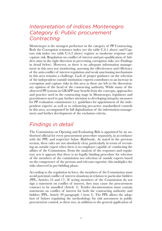## *Interpretation of indices Montenegro Category 6: Public procurement Contracting*

Montenegro is the strongest performer in the category of PP Contracting. Both the Corruption resistance index (see the table C.6.1 above) and Capture risk index (see table C.6.2 above) register as moderate response and capture risk. Regulation on conflict of interest and pre-qualification of bidders aims in the right direction in preventing corruption risks (see Findings in detail below). However, as there is no adequate information management in this area nor monitoring, assessing the effectiveness and efficiency of the anti-conflict of interest regulation and weak sanctioning mechanisms in this area remains a challenge. Lack of proper guidance on the selection of the independent (outside institution) experts contributes to an increase in corruption and capture risks in this area as these are left to the discretionary opinion of the head of the contracting authority. While many of the observed PP systems in GRAPP may benefit from the concepts, approaches and practice used in the contracting stage in Montenegro, legislators and practitioners need to pay further attention to developing integrity measures for PP evaluation commissions (i.e. guidelines for appointment of the independent experts) as well as to enhancing pro-active standardized controls in this area, accompanied by full digitalization of the information management and further development of the exclusion criteria.

## *Findings in detail*

The Commission on Opening and Evaluating Bids is appointed by an authorised official for every procurement procedure separately, in accordance with the PPL and respective bylaw (Rulebook). As stated in the previous section, these rules are not absolutely clear, particularly in terms of recruiting an outside expert when there is no employee capable of conducting the affairs of the Commission. From the analysis of the responses and regulatory acts it appears that there is no legally binding procedure for selection of the members of the commission nor selection of outside experts based on the competence of the persons and relevant expertise; this multiplies the risks observed in pre-bidding phase.

According to the regulation in force, the members of the Commission must avoid potential conflict of interest situations in relation to particular bidders (PPL, Articles 16 and 17). If acting members of the Commission do not sign a statement on conflict of interest, they may cause the procurement contract to be annulled (Article 5). Tender documentation must contain statements on conflict of interest for both the contracting authority and bidders (PPL, Article 49 paragraph 1 item 3). The PPL allows the adoption of bylaws regulating the methodology for risk assessment in public procurement control, so these two, in addition to the general application of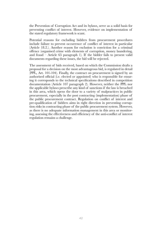the Prevention of Corruption Act and its bylaws, serve as a solid basis for preventing conflict of interest. However, evidence on implementation of the stated regulatory framework is scant.

Potential reasons for excluding bidders from procurement procedures include failure to prevent occurrence of conflict of interest in particular (Article 18.2.). Another reason for exclusion is conviction for a criminal offence (organised crime with elements of corruption, money laundering, and fraud  $-$  Article 65 paragraph 1). If the bidder fails to present valid documents regarding these issues, the bid will be rejected.

The assessment of bids received, based on which the Commission drafts a proposal for a decision on the most advantageous bid, is regulated in detail (PPL, Art. 101-104). Finally, the contract on procurement is signed by an authorised official (i.e. elected or appointed) who is responsible for ensuring it corresponds to the technical specifications described in competition documentation (Article 107 paragraph 2). However, neither the PPL nor the applicable bylaws prescribe any kind of sanctions if the law is breached in this area, which opens the door to a variety of malpractices in public procurement, especially in the post contracting (implementation) phase of the public procurement contract. Regulation on conflict of interest and pre-qualification of bidders aims in right direction in preventing corruption risks in contracting phase of the public procurement system. However, as there is no adequate information management in this area or monitoring, assessing the effectiveness and efficiency of the anti-conflict of interest regulation remains a challenge.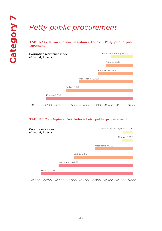# *Petty public procurement*

#### **TABLE C.7.1: Corruption Resistance Index – Petty public procurement**



#### **TABLE C.7.2: Capture Risk Index – Petty public procurement**

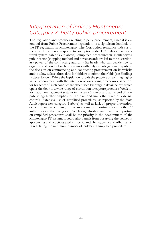### *Interpretation of indices Montenegro Category 7: Petty public procurement*

The regulation and practices relating to petty procurement, since it is exempted from Public Procurement legislation, is a significant loophole in the PP regulation in Montenegro. The Corruption resistance index is in the area of incidental response to corruption (table C.7.1 above), and captured system (table C.7.2 above). Simplified procedures in Montenegro's public sector (shopping method and direct award) are left to the discretionary power of the contracting authority (its head), who can decide how to organise and conduct such procedures with only two obligations: to publish the decision on commencing and conducting procurement on its website and to allow at least three days for bidders to submit their bids (see Findings in detail below). While the legislation forbids the practice of splitting higher value procurement with the intention of overriding procedures, sanctions for breaches of such conduct are absent (see Findings in detail below) which opens the door to a wide range of corruption or capture practices. Weak information management systems in this area (indirect and at the end of year publishing) further emphasizes the risks and limits the reach of external controls. Extensive use of simplified procedures, as reported by the State Audit report (see category 3 above) as well as lack of proper prevention, detection and sanctioning in this area, diminish positive efforts by the PP authorities in other categories. While digitalization and real time reporting on simplified procedures shall be the priority in the development of the Montenegro PP system, it could also benefit from observing the concepts, approaches and practices used in Bosnia and Herzegovina and Albania (i.e. in regulating the minimum number of bidders in simplified procedures).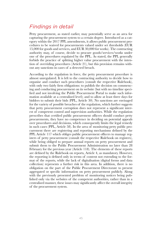# *Findings in detail*

Petty procurement, as stated earlier, may potentially serve as an area for capturing the procurement system to a certain degree. Introduced as a category within the 2017 PPL amendments, it allows public procurement procedures to be waived for procurements valued under set thresholds (EUR 15,000 for goods and services, and EUR 30,000 for works). The contracting authority may, of course, decide to procure goods/services/works under one of the procedures regulated by the PPL. As stated, the PPL generally forbids the practice of splitting higher value procurement with the intention of overriding procedures (Article 21), but this provision remains without any sanctions in cases of a detected breach.

According to the regulation in force, the petty procurement procedure is almost unregulated. It is left to the contracting authority to decide how to organise and conduct such procedures (consult the respective Rulebook), with only two fairly firm obligations: to publish the decision on commencing and conducting procurement on its website (but with no timeline specified and not involving the Public Procurement Portal to make such information available at a centralised level); and to allow at least three days for bidders to submit their bids (PPL, Article 30). No sanctions are envisaged for the variety of possible breaches of the regulation, which further suggests that petty procurement corruption does not represent a significant interest of competent control and supervision authorities. While the regulation prescribes that certified public procurement officers should conduct petty procurements, they have no competence in deciding on potential appeals over procedures and decisions, which consequently limits the legal remedy in such cases (PPL, Article 58). In the area of monitoring petty public procurement there are registering and reporting mechanisms defined by the PPL Article 117 which obliges public procurement officers to manage registers of petty procurement (consult the respective Rulebook on registers), while being obliged to prepare annual reports on petty procurement and submit them to the Public Procurement Administration no later than 28 February for the previous year (Article 118). The elements of these reports are defined by the Rulebook on reports, Article 4, as mandatory. However, the reporting is defined only in terms of content not extending to the format of the reports, while the lack of digitalisation (digital forms and data collection) represents a further risk in this area. In addition, there is no obligation on the part of the Public Procurement Directorate to present aggregated or specific information on petty procurement publicly. Along with the previously presented problem of monitoring notices being published only via the websites of the competent authorities, rather than in a centralised manner, these issues may significantly affect the overall integrity of the procurement system.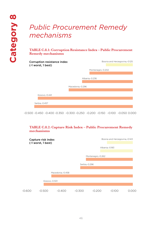# *Public Procurement Remedy mechanisms*

#### **TABLE C.8.1: Corruption Resistance Index – Public Procurement Remedy mechanisms**

| Corruption resistance index<br>(-1 worst, 1 best) | Bosnia and Herzegovina,-0.125 |
|---------------------------------------------------|-------------------------------|
|                                                   | Montenegro,-0.202             |
|                                                   |                               |
|                                                   | Albania,-0.236                |
|                                                   |                               |
| Macedonia,-0.296                                  |                               |
|                                                   |                               |
| Kosovo,-0.441                                     |                               |
|                                                   |                               |
| Serbia,-0.457                                     |                               |
|                                                   |                               |

-0.500 -0.450 -0.400 -0.350 -0.300 -0.250 -0.200 -0.150 -0.100 -0.050 0.000

#### **TABLE C.8.2: Capture Risk Index – Public Procurement Remedy mechanisms**

|        | Capture risk index<br>(-1 worst, 1 best) |                  |               | Bosnia and Herzegovina,-0.143 |                |  |
|--------|------------------------------------------|------------------|---------------|-------------------------------|----------------|--|
|        |                                          |                  |               |                               | Albania,-0.183 |  |
|        |                                          |                  |               |                               |                |  |
|        |                                          |                  |               | Montenegro,-0.262             |                |  |
|        |                                          |                  |               |                               |                |  |
|        |                                          |                  | Serbia,-0.296 |                               |                |  |
|        |                                          |                  |               |                               |                |  |
|        |                                          | Macedonia,-0.458 |               |                               |                |  |
|        |                                          |                  |               |                               |                |  |
|        | Kosovo,-0.501                            |                  |               |                               |                |  |
|        |                                          |                  |               |                               |                |  |
| -0.600 | $-0.500$                                 | -0.400           | $-0.300$      | -0.200                        | $-0.100$       |  |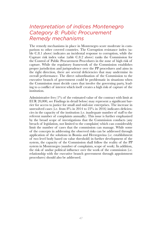## *Interpretation of indices Montenegro Category 8: Public Procurement Remedy mechanisms*

The remedy mechanisms in place in Montenegro score moderate in comparison to other covered countries. The Corruption resistance index (table C.8.1 above) indicates an incidental response to corruption, while the Capture risk index value (table C.8.2 above) ranks the Commission for the Control of Public Procurement Procedures in the zone of high risk of capture. While the regulatory framework of the Commission establishes proper jurisdiction and jurisprudence over the PP procedures and aims in the right direction, there are several deficiencies that may undermine its overall performance. The direct subordination of the Commission to the executive branch of government could be problematic in situations when the Commission must decide cases that involve the governing party, leading to a conflict of interest which itself creates a high risk of capture of the institution.

Administrative fees (1% of the estimated value of the contract with limit at EUR 20,000, see Findings in detail below) may represent a significant barrier for access to justice for small and mid-size enterprises. The increase in unresolved cases (i.e. from 8% in 2014 to 23% in 2016) indicates deficiencies in the capacity of the institution (i.e. inadequate number of staff to the referent number of complaints annually). This issue is further emphasized by the broad scope of investigations that the Commission conducts (any breach of legislation, not limited to the complaint) which can considerably limit the number of cases that the commission can manage. While some of the concepts in addressing the observed risks can be addressed through application of the solutions in Bosnia and Herzegovina (i.e. establishment of two level body based on value threshold) in further development of the system, the capacity of the Commission shall follow the reality of the PP system in Montenegro (number of complaints, scope of work). In addition, the risk of undue political influence over the work of the commission (i.e. relationship with the executive branch government through appointment procedures) should also be addressed.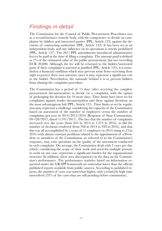# *Findings in detail*

The Commission for the Control of Public Procurement Procedures acts as a second-instance remedy body, with the competence to decide on complaints by bidders and interested parties (PPL, Article 123) against the decisions of contracting authorities (PPL, Article 122). It has been set as an independent body, and any influence on its operations is strictly prohibited (PPL, Article 137). The 2017 PPL amendments introduced administrative fees to be paid at the time of filing a complaint. The amount paid is defined as 1% of the estimated value of the public procurement, but not exceeding EUR 20,000. Although the fee will be returned to the bidder/interested party if their complaint is assessed as justified (PPL, Article 125), it is nonetheless a financial condition which may prevent some from exercising their right to protect their own interests, since it may represent a significant cost to the bidder. Nevertheless, the rationale behind it is to prevent bidders from abusing the complaint procedure.

The Commission has a period of 15 days (after receiving the complete procurement documentation) to decide on a complaint, with the option of prolonging the decision for 10 more days. Time limits have been set for complaints against tender documentation and those against decisions on the most advantageous bid (PPL, Article 131). Time limits as set by regulation may represent a challenge considering the capacity of the Commission based on assessment of the number of employees versus the number of complaints per year in 2014/2015/2016 (Response of State Commission, 09-128/2017, dated 11/07/2017). The fact that the number of complaints increased over the years (from 843 in 2014 to 1,213 in 2016), as did the number of decisions rendered (from 768 in 2014 to 938 in 2016), and that this was all accomplished by a team of 11 employees in 2014 rising to 13 in 2016 (with almost constant problems related to the appointment of a President or members of the Commission, as referred to in the Commission's response), may raise questions on the quality of the assessment conducted in each complaint. On average, the Commission dealt with 3 cases per day which, considering the scope of their work and need for multiple persons to work on one case, represents a significant burden for the organisational structure. In addition, there area discrepancies in the data on the Commission's performance. The performance statistics based on information requested under the GRAPP framework are somewhat lower than the official published reports available from public sources. According to published reports, the number of cases was somewhat higher, with a relatively high ratio unresolved (23% of the cases that are still pending before commission).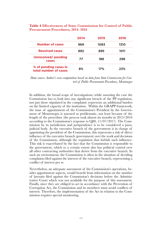#### **Table 4 Effectiveness of State Commission for Control of Public Procurement Procedures, 2014- 2016**

|                                                | 2014 | 2015 | 2016 |
|------------------------------------------------|------|------|------|
| <b>Number of cases</b>                         | 969  | 1083 | 1310 |
| <b>Resolved cases</b>                          | 892  | 895  | 1011 |
| Unresolved/pending<br>cases                    | 77   | 188  | 298  |
| % of pending cases in<br>total number of cases | 8%   | 17%  | 23%  |

*Data source: Author's own computation based on data from State Commission for Control of Public Procurement Procedures, Montenegro*

In addition, the broad scope of investigations (while assessing the case the Commission has to look into any significant breach of the PP regulation, not just those stipulated in the complaint) represents an additional burden on the limited capacity of the institution. Within the GRAPP framework, the issue of appointment of the Commission's President by the Government of Montenegro is assessed as problematic, not least because of the length of the procedure (the process took almost six months in 2015/2016 according to the Commission's response to Q80, 11/07/2017). The Commission by its jurisdiction and jurisprudence is to be considered a parajudicial body. As the executive branch of the government is in charge of appointing the president of the Commission, this represents a risk of direct influence of the executive branch (government) over the work and decisions of the Commission, although the regulation that forbids such influence. This risk is exacerbated by the fact that the Commission is responsible to the government, which to a certain extent also has political control over all other contracting authorities that derive from the executive branch. In such an environment, the Commission is often in the situation of deciding complaints filed against the interest of the executive branch, representing a conflict of interest per se.

Nevertheless, an adequate assessment of the Commission's operations, besides appointment aspects, would benefit from information on the number of lawsuits filed against the Commission's decisions before the Administrative Court which was not available for the purpose of this assessment. Finally, since they are obliged to act in accordance with the Prevention of Corruption Act, the Commission and its members must avoid conflicts of interest. Therefore, the implementation of the Act in relation to the Commission requires special monitoring.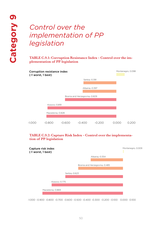# *Control over the implementation of PP legislation*

**TABLE C.9.1: Corruption Resistance Index – Control over the implementation of PP legislation**



#### **TABLE C.9.2: Capture Risk Index – Control over the implementation of PP legislation**

| Capture risk index<br>(-1 worst, 1 best) |                 |                               | Montenegro, 0.009 |
|------------------------------------------|-----------------|-------------------------------|-------------------|
|                                          |                 | Albania,-0.354                |                   |
|                                          |                 |                               |                   |
|                                          |                 | Bosnia and Herzegovina,-0.485 |                   |
|                                          |                 |                               |                   |
|                                          | Serbia, - 0.623 |                               |                   |
|                                          |                 |                               |                   |
| Kosovo,-0.775                            |                 |                               |                   |
|                                          |                 |                               |                   |
| Macedonia,-0.869                         |                 |                               |                   |

-1.000 -0.900 -0.800 -0.700 -0.600 -0.500 -0.400 -0.300 -0.200 -0.100 0.000 0.100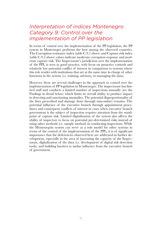## *Interpretation of indices Montenegro Category 9: Control over the implementation of PP legislation*

In terms of control over the implementation of the PP legislation, the PP system in Montenegro performs the best among the observed countries. The Corruption resistance index (table C.9.1 above) and Capture risk index (table C.9.2 above) values indicate moderate corruption response and moderate capture risk. The Inspectorate's jurisdiction over the implementation of the PPL is seen as good practice, with focus on proactive controls and relatively low potential conflict of interest in comparison to systems where this role resides with institutions that are at the same time in charge of other functions in the system (i.e. training, advisory, or managing the data).

However, there are several challenges in the approach to control over the implementation of PP legislation in Montenegro. The inspectorate has limited staff and conducts a limited number of inspections annually (see the Findings in detail below) which limits its overall ability to produce impact in detecting and sanctioning anomalies. The potential disproportionality of the fines prescribed and damage done through misconduct remains. The potential influence of the executive branch through appointment procedures and consequent conflicts of interest in cases when executive branch government is the subject of inspection requires attention from the standpoint of capture risk. Limited digitalization of the system also affects the ability of inspectors to focus on potential pre-determined risks instead of using other methods (i.e. sample method) in conducting inspections. While the Montenegrin system can serve as a role model for other systems in terms of the control of the implementation of the PPL, it is of significant importance that the deficiencies observed here are addressed in further development, especially in the area of increasing the capacity of the Inspectorate, digitalization of the data (i.e. development of digital risk detection tools), and building barriers to undue influence from the executive branch of government.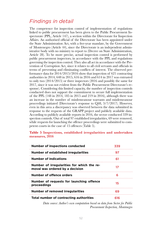#### *Findings in detail*

The competence for inspection control of implementation of regulations linked to public procurement has been given to the Public Procurement Inspectorate (PPL, Article 147), a section within the Directorate for Inspection Affairs. An authorised official of the Directorate has been appointed under the State Administration Act, with a five-year mandate, by the Government of Montenegro (Article 44), since the Directorate is an independent administrative body with no ministry to report to (Decree on State Administration, Article 28). To be more precise, actual inspection control is performed by public procurement inspectors, in accordance with the PPL and regulations governing the inspection control. They also all act in accordance with the Prevention of Corruption Act, since it relates to all civil servants and officials in terms of preventing and eliminating conflicts of interest. The observed performance data for 2014/2015/2016 show that inspection of 621 contracting authorities in 2014, 648 in 2015, 616 in 2016 and 614 in 2017 was entrusted to only two (2014/2015) or three inspectors (2016 and possibly the same for 2017, since it was not evident from the Public Procurement Directorate's response). Considering this limited capacity, the number of inspection controls conducted does not support the commitment to secure full implementation of the PPL (148 in 2014, 185 in 2015 and 219 in 2016), although there was an increase in the number of misdemeanour warrants and misdemeanour proceedings initiated (Directorate's response to Q48, 3/7/2017). However, even in this area a discrepancy was observed between the data submitted in response to the requests of the GRAPP project and publicly available data. According to publicly available reports in 2016, the sector conducted 339 inspection controls. Out of total 97 established irregularities, 69 were removed, while requests for launching the offence proceedings were submitted to competent courts in the case of 15 offences (Table 5).

#### **Table 5 Inspections, established irregularities and undertaken measures, 2016**

| <b>Number of inspections conducted</b>                                        | 339 |  |
|-------------------------------------------------------------------------------|-----|--|
| <b>Number of established irregularities</b>                                   | 97  |  |
| <b>Number of indications</b>                                                  | 61  |  |
| Number of irregularities for which the re-<br>moval was ordered by a decision | 17  |  |
| Number of offence orders                                                      | 6   |  |
| Number of requests for launching offence<br>proceedings                       | 15  |  |
| <b>Number of removed irregularities</b>                                       | 69  |  |
| Total number of contracting authorities                                       | 616 |  |

 *Data source: Author's own computation based on data from Sector for Public Procurement Inspection, Montenegro*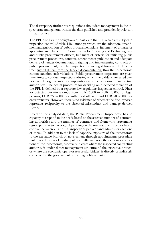The discrepancy further raises questions about data management in the inspectorate and general trust in the data published and provided by relevant PP authorities.

The PPL also lists the obligations of parties to the PPL which are subject to inspection control (Article 148), amongst which are the adoption, amendment and publication of public procurement plans, fulfilment of criteria for appointing members of the Commissions for Opening and Evaluating Bids and public procurement officers, fulfilment of criteria for initiating public procurement procedures, contents, amendments, publication and adequate delivery of tender documentation, signing and implementing contracts on public procurement, etc. No inspection is envisaged however, if the contract signed differs from the tender documentation, thus the inspectorate cannot sanction such violations. Public procurement inspectors are given time limits to conduct inspections (during which the bidder/interested parties have the right to submit complaints against the decisions of contracting authorities). The actual procedure for deciding on a detected violation of the PPL is defined by a separate law regulating inspection control. Fines for detected violations range from EUR 2,000 to EUR 20,000 for legal persons; EUR 250-2,000 for authorised officials; and EUR 500-6,000 for entrepreneurs. However, there is no evidence of whether the fine imposed represents reciprocity to the observed misconduct and damage derived from it.

Based on the analysed data, the Public Procurement Inspectorate has no capacity to respond to the needs based on the assessed number of contracting authorities and the number of contracts and framework agreements signed per year (on average depending on the sources, one inspector has to conduct between 70 and 100 inspections per year and administer each one of them). In addition to the lack of capacity, exposure of the inspectorate to the executive branch of government through appointments procedure multiplies the risks of undue political influence over the decisions and actions of the inspectorate, especially in cases where the inspected contracting authority is under direct management structure of the executive branch, or where the economic operator (successful bidder) is directly or indirectly connected to the government or leading political party.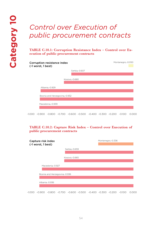# *Control over Execution of public procurement contracts*

**TABLE C.10.1: Corruption Resistance Index – Control over Execution of public procurement contracts**

| Corruption resistance index<br>(-1 worst, 1 best) |                 | Montenegro,-0.050 |
|---------------------------------------------------|-----------------|-------------------|
|                                                   | Serbia,-0.607   |                   |
|                                                   |                 |                   |
|                                                   | Kosovo, - 0.680 |                   |
|                                                   |                 |                   |
| Albania,-0.929                                    |                 |                   |
| Bosnia and Herzegovina,-0.932                     |                 |                   |
|                                                   |                 |                   |
| Macedonia,-0.939                                  |                 |                   |
|                                                   |                 |                   |

-1.000 -0.900 -0.800 -0.700 -0.600 -0.500 -0.400 -0.300 -0.200 -0.100 0.000

#### **TABLE C.10.2: Capture Risk Index – Control over Execution of public procurement contracts**

| Capture risk index<br>(-1 worst, 1 best) |                 | Montenegro,-0.336 |
|------------------------------------------|-----------------|-------------------|
|                                          | Serbia, - 0.659 |                   |
|                                          |                 |                   |
|                                          | Kosovo,-0.665   |                   |
| Macedonia,-0.927                         |                 |                   |
| Bosnia and Herzegovina,-0.936            |                 |                   |
| Albania,-0.936                           |                 |                   |
|                                          |                 |                   |

-1.000 -0.900 -0.800 -0.700 -0.600 -0.500 -0.400 -0.300 -0.200 -0.100 0.000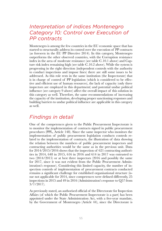## *Interpretation of indices Montenegro Category 10: Control over Execution of PP contracts*

Montenegro is among the few countries in the EU economic space that has started to structurally address its control over the execution of PP contracts (as foreseen in the EU PP Directive 2014). In this category, Montenegro outperforms the other observed countries, with the Corruption resistance index in the area of moderate resistance (see table C.10.1 above) and Capture risk index remaining high (see table C.10.2 above). While the system is progressing in the right direction (independent controls with the authority to conduct inspections and impose fines) there are still some issues to be addressed. As this role rests in the same institution (the Inspectorate) that is in charge of control of PP legislation (which is considered to be effective and efficient use of human resources), the lack of capacity (only three inspectors are employed in this department) and potential undue political influence (see category 9 above) affect the overall impact of this solution in this category as well. Therefore, the same recommendations of increasing the capacity of the institution, developing proper sanctioning responses and building barriers to undue political influence are applicable in this category as well.

## *Findings in detail*

One of the competences given to the Public Procurement Inspectorate is to monitor the implementation of contracts signed in public procurement procedures (PPL, Article 148). Since the same inspector who monitors the implementation of public procurement legislation conducts controls related to the implementation of contracts, the illustration of data showing the relation between the numbers of public procurement inspectors and contracting authorities would be the same as in the previous unit. Data for 2014/2015/2016 shows that the inspection of 621 contracting authorities in 2014, 648 in 2015, 616 in 2016 and 614 in 2017 was entrusted to two (2014/2015) or at best three inspectors (2016 and possibly the same for 2017, since it was not evident from the Public Procurement Administration's response). Considering this limited capacity, the number of inspection controls of implementation of procurement contracts conducted remains a significant challenge for established organisational structure (issue not applicable for 2014, since competences were defined differently, 25 inspections in 2015 and 49 in 2016 (Administration's response to Q57 from 3/7/2017).

As previously stated, an authorised official of the Directorate for Inspection Affairs (of which the Public Procurement Inspectorate is a part) has been appointed under the State Administration Act, with a five-year mandate, by the Government of Montenegro (Article 44), since the Directorate is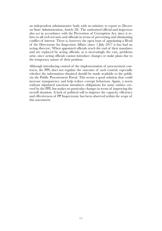an independent administrative body with no ministry to report to (Decree on State Administration, Article 28). The authorised official and inspectors also act in accordance with the Prevention of Corruption Act, since it relates to all civil servants and officials in terms of preventing and eliminating conflict of interest. There is, however, the open issue of appointing a Head of the Directorate for Inspection Affairs (since 1 July 2017 it has had an acting director). When appointed officials reach the end of their mandates and are replaced by acting officials, as is increasingly the case, problems arise, since acting officials cannot introduce changes or make plans due to the temporary nature of their position.

Although introducing control of the implementation of procurement contracts, the PPL does not regulate the outcome of such control, especially whether the information obtained should be made available to the public via the Public Procurement Portal. This seems a good solution that could increase transparency and help reduce corrupt behaviour. Again, a norm without stipulated sanctions introduces obligations for some entities covered by the PPL but makes no particular changes in terms of improving the overall situation. A lack of political will to improve the capacity, efficiency and effectiveness of PP Inspectorate has been observed within the scope of this assessment.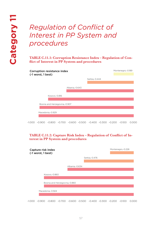# *Regulation of Conflict of Interest in PP System and procedures*

**TABLE C.11.1: Corruption Resistance Index – Regulation of Conflict of Interest in PP System and procedures**

| <b>Corruption resistance index</b><br>(-1 worst, 1 best) |                |               | Montenegro,-0.189 |
|----------------------------------------------------------|----------------|---------------|-------------------|
|                                                          |                | Serbia,-0.444 |                   |
|                                                          |                |               |                   |
|                                                          | Albania,-0.643 |               |                   |
|                                                          |                |               |                   |
| Kosovo,-0.816                                            |                |               |                   |
|                                                          |                |               |                   |
| Bosnia and Herzegovina,-0.907                            |                |               |                   |
|                                                          |                |               |                   |
| Macedonia,-0.929                                         |                |               |                   |
|                                                          |                |               |                   |

#### **TABLE C.11.2: Capture Risk Index – Regulation of Conflict of Interest in PP System and procedures**

| Serbia, - 0.476               |                |
|-------------------------------|----------------|
|                               |                |
|                               |                |
|                               |                |
|                               |                |
|                               |                |
|                               |                |
|                               |                |
| Bosnia and Herzegovina,-0.860 | Albania,-0.634 |

-1.000 -0.900 -0.800 -0.700 -0.600 -0.500 -0.400 -0.300 -0.200 -0.100 0.000

<sup>-1.000</sup> -0.900 -0.800 -0.700 -0.600 -0.500 -0.400 -0.300 -0.200 -0.100 0.000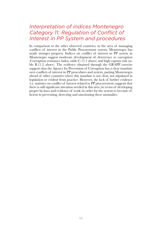## *Interpretation of indices Montenegro Category 11: Regulation of Conflict of Interest in PP System and procedures*

In comparison to the other observed countries, in the area of managing conflicts of interest in the Public Procurement system, Montenegro has made stronger progress. Indices on conflict of interest in PP system in Montenegro suggest moderate development of deterrence to corruption (Corruption resistance index, table C.11.1 above) and high capture risk (table B.11.2 above). The evidence obtained through the GRAPP exercise suggests that the Agency for Prevention of Corruption has a clear mandate over conflicts of interest in PP procedures and system, putting Montenegro ahead of other countries where this mandate is not clear, not stipulated in legislation or evident from practice. However, the lack of further evidence (i.e. statistics on conflict of interest related to PP procurement) suggests that there is still significant attention needed in this area (in terms of developing proper by-laws and evidence of work) in order for the system to become efficient in preventing, detecting and sanctioning these anomalies.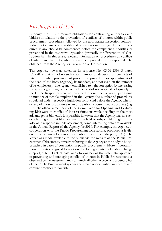# *Findings in detail*

Although the PPL introduces obligations for contracting authorities and bidders in relation to the prevention of conflicts of interest within public procurement procedures, followed by the appropriate inspection controls, it does not envisage any additional procedures in this regard. Such procedures, if any, should be commenced before the competent authorities, as prescribed in the respective legislation (primarily the Prevention of Corruption Act). In this sense, relevant information on procedures on conflicts of interest in relation to public procurement procedures was supposed to be obtained from the Agency for Prevention of Corruption.

The Agency, however, stated in its response No. 03-04-2393/3 dated 5/7/2017 that it had no such data (number of decisions on conflicts of interest in public procurement procedures, procedure for appointment of the head of the body (Agency), its mandate, and not even on the number of its employees). The Agency, established to fight corruption by increasing transparency, among other competencies, did not respond adequately to the FOIA. Responses were not provided in a number of areas, pertaining to number of people employed in the Agency, the number of procedures stipulated under respective legislation conducted before the Agency, whether any of those procedures related to public procurement procedures (e.g. if public officials/members of the Commission for Opening and Evaluating Bids were in conflict of interest situations while deciding on the most advantageous bid, etc.). It is possible, however, that the Agency has no such detailed register that files documents by field or subject. Although this inadequate response inhibits assessment, some interesting data are available in the Annual Report of the Agency for 2016. For example, the Agency, in cooperation with the Public Procurement Directorate, produced a leaflet on the prevention of corruption in public procurement (Report, p. 49). The leaflet was made available to the public via the website of the Public Procurement Directorate, directly referring to the Agency as the body to be approached in cases of corruption in public procurement. More importantly, those institutions agreed to work on developing a system of data exchange (Report, p. 69). Lack of data, and obvious lack of the systematic approach in preventing and managing conflict of interest in Public Procurement as observed by the assessment may diminish all other aspects of accountability of the Public Procurement system and create opportunities for corrupt and capture practices to flourish.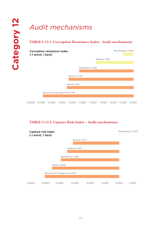# *Audit mechanisms*

#### **TABLE C.12.1: Corruption Resistance Index – Audit mechanisms**



#### **TABLE C.12.2: Capture Risk Index – Audit mechanisms**

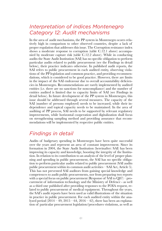## *Interpretation of indices Montenegro Category 12: Audit mechanisms*

In the area of audit mechanisms, the PP system in Montenegro scores relatively high in comparison to other observed countries, despite a lack of proper regulation that addresses this issue. The Corruption resistance index shows a moderate response to corruption (table C.12.1 above) accompanied by moderate capture risk (table C.12.2 above). While in conducting audits the State Audit Institution (SAI) has no specific obligation to perform particular audits related to public procurement (see the Findings in detail below), their practice indicates otherwise. In published audit reports, the SAI refers to public procurement in each audited entity, observing violations of the PP legislation and common practice, and providing recommendations, which is considered to be good practice. However, there are limits in the impact of the SAI endeavour due to overall accountability deficiencies in Montenegro. Recommendations are rarely implemented by audited entities (i.e. there are no sanctions for noncompliance) and the number of entities audited is limited due to capacity limits of SAI (see Findings in detail below). In future development of the PP system in Montenegro, this issue should be addressed through several measures. The capacity of the SAI (number of persons employed) needs to be increased, while their independence and topical capacity needs to be maintained. In the area of auditing of PP process, SAI needs to be supported by relevant regulatory improvements, while horizontal cooperation and digitalization shall focus on strengthening sampling method and providing assurance that recommendations will be implemented by respective public entities.

### *Findings in detail*

Audits of budgetary spending in Montenegro have been quite successful over the years and represent an area of constant improvement. Since its formation in 2004, the State Audit Institution (hereinafter: SAI) has been improving its capacity and knowledge, boosting the integrity of the Institution. In relation to its contribution to an analysis of the level of proper planning and spending in public procurement, the SAI has no specific obligation to perform particular audits related to public procurement (SAI audits public procurement within its common audit activities – SAI Act, Article 5). This has not prevented SAI auditors from gaining special knowledge and competences to audit public procurements, nor from preparing two reports with a special focus on public procurement (Response of SAI to  $Q87$ ) – procurement of information technology and the Ministry of Defence - as well as a third one published after providing responses to the FOIA request, related to public procurement of medical equipment. Throughout the years, the SAI's audit reports have been used as valid illustrations of the situation in practice in public procurement. For each audited entity within the analysed period  $(2014 - 49, 2015 - 64, 2016 - 42)$ , there has been an explanation of particular procurement legislation/procedures violations, as well as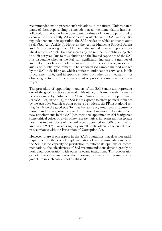recommendations to prevent such violations in the future. Unfortunately, many of these reports simply conclude that no recommendation has been followed, or that it has been done partially, thus violations are permitted to occur almost constantly. All reports are available via the SAI website. Being independent in its operation, the SAI decides on which entities to audit itself (SAI Act, Article 9). However, the Act on Financing Political Parties and Campaigns obliges the SAI to audit the annual financial reports of political subjects (Article 43), thus increasing the number of entities subjected to audit per year. Due to this solution and the limited capacities of the SAI, it is disputable whether the SAI can significantly increase the number of audited entities beyond political subjects in the period ahead, to expand audits on public procurement. The standardised sample method applied by the SAI in deciding on which entities to audit cannot serve as a Public Procurement safeguard in specific entities, but rather as a mechanism for observing of trends in the management of public procurement from year to year.

The procedure of appointing members of the SAI Senate also represents one of the good practices observed in Montenegro. Namely, with five members appointed by Parliament (SAI Act, Article 33) and with a permanent seat (SAI Act, Article 34), the SAI is not exposed to direct political influence by the executive branch as other observed entities in the PP institutional setting. While on the good side SAI has had same organisational structure for more than 13 years, which allowed institutional memory to be established, new appointments in the SAI (two members appointed in 2017) triggered some critical voices by civil society representatives in recent months (please note that two members of the SAI were appointed in 2006, one in 2013, and two in 2017). Considering they are all public officials, they need to act in accordance with the Prevention of Corruption Act.

However, there is one aspect in the SAI's operations that does not satisfy requirements – the level of implementation of its recommendations. Since the SAI has no capacity or jurisdiction to enforce its opinions or recommendations, the effectiveness of SAI recommendations depend greatly on horizontal cooperation with other relevant institutions. This cooperation or potential subordination of the reporting mechanisms or administrative guidelines in such cases is not established.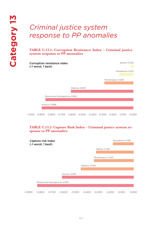# *Criminal justice system response to PP anomalies*

**TABLE C.13.1: Corruption Resistance Index – Criminal justice system response to PP anomalies**

| Corruption resistance index<br>(-1 worst, 1 best) | Serbia,-0.028     |
|---------------------------------------------------|-------------------|
|                                                   | Macedonia,-0.135  |
|                                                   |                   |
|                                                   | Montenegro,-0.284 |
| Albania,-0.605                                    |                   |
|                                                   |                   |
| Bosnia and Herzegovina,-0.854                     |                   |
|                                                   |                   |
| Kosovo, - 0.888                                   |                   |
|                                                   |                   |
|                                                   |                   |

-1.000 -0.900 -0.800 -0.700 -0.600 -0.500 -0.400 -0.300 -0.200 -0.100 0.000

#### **TABLE C.13.2: Capture Risk Index – Criminal justice system response to PP anomalies**

|          | Capture risk index<br>(-1 worst, 1 best) |          |                               |          |                |                   |          | Macedonia,-0.180 |       |
|----------|------------------------------------------|----------|-------------------------------|----------|----------------|-------------------|----------|------------------|-------|
|          |                                          |          |                               |          |                | Serbia, -0.326    |          |                  |       |
|          |                                          |          |                               |          |                |                   |          |                  |       |
|          |                                          |          |                               |          |                | Montenegro,-0.342 |          |                  |       |
|          |                                          |          |                               |          |                |                   |          |                  |       |
|          |                                          |          |                               |          | Albania,-0.454 |                   |          |                  |       |
|          |                                          |          |                               |          |                |                   |          |                  |       |
|          |                                          |          | Kosovo,-0.619                 |          |                |                   |          |                  |       |
|          |                                          |          |                               |          |                |                   |          |                  |       |
|          |                                          |          | Bosnia and Herzegovina,-0.845 |          |                |                   |          |                  |       |
|          |                                          |          |                               |          |                |                   |          |                  |       |
| $-0.900$ | $-0.800$                                 | $-0.700$ | $-0.600$                      | $-0.500$ | $-0.400$       | $-0.300$          | $-0.200$ | $-0.100$         | 0.000 |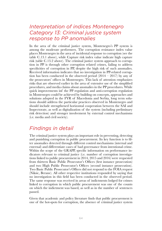## *Interpretation of indices Montenegro Category 13: Criminal justice system response to PP anomalies*

In the area of the criminal justice system, Montenegro's PP system is among the moderate performers. The corruption resistance index value places Montenegro in the area of incidental response to corruption (see the table C.13.1 above), while Capture risk index value indicate high capture risk (table C.13.2 above). The criminal justice system approach to corruption in PP is through other corruption related crimes, failing to address specificities of corruption in PP, despite the high risk of such anomalies. Received information indicates that no investigation in PP-related corruption has been conducted in the observed period  $(2014 - 2017)$  by any of the prosecutors' offices in Montenegro. This lack of attention emphasizes risks that are observed earlier in the area of extensive use of the simplified procedures, and media claims about anomalies in the PP procedures. While quick improvements inf the PP regulation and anti-corruption regulation in Montenegro could be achieved by building on concepts, approaches and solutions adopted in the FYR of Macedonia and Serbia, long term solutions should address the particular practices observed in Montenegro and should include strengthened horizontal cooperation between the SAI and Inspectorate, as well as digitalization of the system (including preliminary risk detection) and stronger involvement by external control mechanisms (i.e. media and civil society).

# *Findings in detail*

The criminal justice system plays an important role in preventing, detecting and punishing corruption in public procurement. Its key function is to filter anomalies detected through different control mechanisms (internal and external) and differentiate cases of bad governance from intentional crime. Within the scope of the GRAPP, specific information on performance indicators relevant to criminal justice (i.e. number of corruption investigations linked to public procurement in 2014, 2015 and 2016) were requested from thirteen Basic Public Prosecutor's Offices (first instance prosecution) and two High Public Prosecutor's Offices (second instance prosecution). Two Basic Public Prosecutor's Offices did not respond to the FOIA request (Niksic, Berane). All other respective institutions responded by saying that no investigation in this field has been conducted in the observed period. The same response was received in areas of indictments lodged for crimes linked to corruption in which public procurement was one of the counts on which the indictment was based, as well as in the number of sentences passed.

Given that academic and policy literature finds that public procurement is one of the hot-spots for corruption, the absence of criminal justice system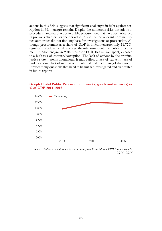actions in this field suggests that significant challenges in fight against corruption in Montenegro remain. Despite the numerous risks, deviations in procedures and malpractice in public procurement that have been observed in previous chapters for the period 2014 - 2016, the relevant criminal justice authorities did not find any base for investigations or prosecution. Although procurement as a share of GDP is, in Montenegro, only 11.77%, significantly below the EU average, the total sum spent in in public procurement in Montenegro in 2016 was over EUR 450 million spent, exposed to a high risk of capture/corruption. The lack of actions by the criminal justice system seems anomalous. It may reflect a lack of capacity, lack of understanding, lack of interest or intentional malfunctioning of the system. It raises many questions that need to be further investigated and elaborated in future reports.



#### **Graph 1Total Public Procurement (works, goods and services) as % of GDP, 2014- 2016**

*Source: Author's calculations based on data from Eurostat and PPB Annual reports, 2014- 2016*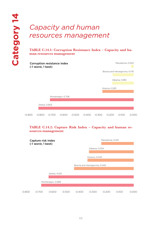# *Capacity and human resources management*

**TABLE C.14.1: Corruption Resistance Index – Capacity and human resources management**



#### **TABLE C.14.2: Capture Risk Index – Capacity and human resources management**

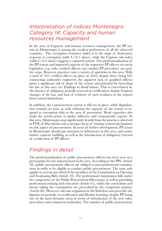## *Interpretation of indices Montenegro Category 14: Capacity and human resources management*

In the area of Capacity and human resources management, the PP system in Montenegro is among the weakest performers of all the observed countries. The corruption resistance index is in the stage of elementary response to corruption (table C.14.1 above), while the Capture risk index (table C.14.2 above) suggests a captured system. The professionalization of the PP system and improved capacity of the respective PP officers set out in legislation (e.g., only certified officers can conduct PP procedure) are positive steps. However, practices raise a variety of questions in this area. With a total of 442 certified officers in place in 2016, despite there being 621 contracting authorities registered, the apparent lack of qualified officers poses a significant risk of abuse of the system and potential for breaching the law in this area (see Findings in detail below). This is exacerbated by the absence of obligatory periodic renewal of certification, despite frequent changes of the law, and lack of evidence of such weakness in the reports from control institutions.

In addition, the e-procurement system is still not in place, while digitalization remains an issue as well, reducing the capacity of the system to respond to corruption risks in the area of prevention. Weak capacities also make the system prone to undue influence and consequently capture. In this area, Montenegro may significantly benefit from the practices observed in FYR of Macedonia and a stronger focus of existing control mechanisms on this aspect of procurement. In areas of further development, PP actors in Montenegro should pay attention to deficiencies in this area, and assure further capacity building, as well as the introduction of obligatory renewal of certification of PP officers.

# *Findings in detail*

The professionalization of public procurement officers has been seen as a prerequisite for any improvement in the area. According to the PPL (Article 58), public procurement officers are obliged to pass professional examinations in order to be eligible to conduct public procurement. The same rule applies to at least one-third of the members of the Commission on Opening and Evaluating Bids (Article 59). The professional examination falls under the competence of the Public Procurement Directorate as well as providing professional training and education (Article 61), whilst the curriculum and means taking the examination are prescribed by the competent ministry (Article 60). However, relevant regulation in the field does not prescribe obligation on periodic re-certification and lifetime learning, despite PP being one of the most dynamic areas in terms of introduction of the new rules, procedures and competent authorities. The number of public procurement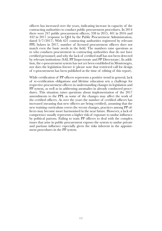officers has increased over the years, indicating increase in capacity of the contracting authorities to conduct public procurement procedures. In 2014 there were 247 public procurement officers, 338 in 2015, 401 in 2016 and 442 in 2017 (response to Q64 by the Public Procurement Administration, dated 3/7/2017). With 621 contracting authorities registered by relevant PPL bylaws in 2017, number of licensed procurement officers does not match even the basic needs in the field. The numbers raise questions as to who conducts procurement in contracting authorities that do not have certified personnel; and why the lack of certified staff has not been detected by relevant institutions (SAI, PP Inspectorate and PP Directorate). In addition, the e-procurement system has not yet been established in Montenegro, nor does the legislation foresee it (please note that restricted call for design of e-procurement has been published at the time of editing of this report).

While certification of PP officers represents a positive trend in general, lack of re-certification obligations and lifetime education sets a challenge for respective procurement officers in understanding changes in legislation and PP system, as well as in addressing anomalies in already conducted procedures. This situation raises questions about implementation of the 2017 amendments to the PPL as some of the changes may affect the work of the certified officers. As over the years the number of certified officers has increased (meaning that new officers are being certified), assuming that the new training curriculum covers the recent changes, practices among PP officers may become more harmonised in the near future. However, a lack of competence usually represents a higher risk of exposure to undue influence by political patrons. Failing to train PP officers to deal with the complex issues that arise in public procurement exposes the system to undue private and partisan influence especially given the risks inherent in the appointment procedures in the PP system.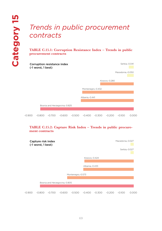# *Trends in public procurement contracts*

**TABLE C.15.1: Corruption Resistance Index – Trends in public procurement contracts**

|        | Corruption resistance index<br>(-1 worst, 1 best) |          |                               |          |                   |          |               |                  | Serbia,-0.041 |
|--------|---------------------------------------------------|----------|-------------------------------|----------|-------------------|----------|---------------|------------------|---------------|
|        |                                                   |          |                               |          |                   |          |               | Macedonia,-0.050 |               |
|        |                                                   |          |                               |          |                   |          | Kosovo,-0.280 |                  |               |
|        |                                                   |          |                               |          | Montenegro,-0.432 |          |               |                  |               |
|        |                                                   |          |                               |          | Albania,-0.441    |          |               |                  |               |
|        |                                                   |          | Bosnia and Herzegovina,-0.825 |          |                   |          |               |                  |               |
|        |                                                   |          |                               |          |                   |          |               |                  |               |
| -0.900 | $-0.800$                                          | $-0.700$ | $-0.600$                      | $-0.500$ | $-0.400$          | $-0.300$ | $-0.200$      | $-0.100$         | 0.000         |

#### **TABLE C.15.2: Capture Risk Index – Trends in public procurement contracts**

|        | Capture risk index<br>(-1 worst, 1 best) |          |                               |                   |                |          |          | Macedonia,-0.027 |               |
|--------|------------------------------------------|----------|-------------------------------|-------------------|----------------|----------|----------|------------------|---------------|
|        |                                          |          |                               |                   |                |          |          |                  | Serbia,-0.027 |
|        |                                          |          |                               |                   | Kosovo,-0.424  |          |          |                  |               |
|        |                                          |          |                               |                   |                |          |          |                  |               |
|        |                                          |          |                               |                   | Albania,-0.433 |          |          |                  |               |
|        |                                          |          |                               |                   |                |          |          |                  |               |
|        |                                          |          |                               | Montenegro,-0.573 |                |          |          |                  |               |
|        |                                          |          |                               |                   |                |          |          |                  |               |
|        |                                          |          | Bosnia and Herzegovina,-0.805 |                   |                |          |          |                  |               |
|        |                                          |          |                               |                   |                |          |          |                  |               |
| -0.900 | $-0.800$                                 | $-0.700$ | $-0.600$                      | $-0.500$          | $-0.400$       | $-0.300$ | $-0.200$ | $-0.100$         | 0.000         |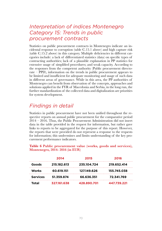## *Interpretation of indices Montenegro Category 15: Trends in public procurement contracts*

Statistics on public procurement contracts in Montenegro indicate an incidental response to corruption (table C.15.1 above) and high capture risk (table C.15.2 above) in this category. Multiple deficiencies in different categories include: a lack of differentiated statistics (data) on specific types of contracting authorities; lack of a plausible explanation in PP statistics for extensive usage of simplified procedures; and weak capacity. According to the responses from the competent authority (Public procurement directorate – PPD), information on the trends in public procurement appears to be limited and insufficient for adequate monitoring and usage of such data in different areas of governance. While in this area, the PP authorities of Montenegro can benefit from observation of the concepts, approaches and solutions applied in the FYR of Macedonia and Serbia, in the long run, the further standardization of the collected data and digitalization are priorities for system development.

# *Findings in detail*

Statistics in public procurement have not been unified throughout the respective reports on annual public procurement for the comparative period  $2014 - 2016$ . Thus, the Public Procurement Administration did not insert data in the table provided in the request for information, but rather gave links to reports to be aggregated for the purpose of this report. However, the reports that were provided do not represent a response to the requests for information; this undermines and limits understanding of the key procurement performance indicators.

**Table 6 Public procurement value (works, goods and services), Montenegro, 2014- 2016 (in EUR)**

|                 | 2014        | 2015        | 2016        |
|-----------------|-------------|-------------|-------------|
| Goods           | 215.182.613 | 235.104.724 | 219.652.414 |
| Works           | 60.619.151  | 127.149.626 | 155.745.038 |
| <b>Services</b> | 51.359.874  | 66.636.351  | 72.341.769  |
| Total           | 327.161.638 | 428.890.701 | 447.739.221 |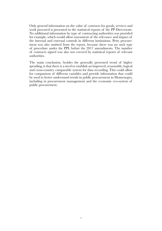Only general information on the value of contracts for goods, services and work procured is presented in the statistical reports of the PP Directorate. No additional information by type of contracting authorities was provided for example, which would allow assessment of the relevance and impact of the internal and external controls in different institutions. Petty procurement was also omitted from the report, because there was no such type of procedure under the PPL before the 2017 amendments. The number of contracts signed was also not covered by statistical reports of relevant authorities.

The main conclusion, besides the generally presented trend of higher spending, is that there is a need to establish an improved, reasonable, logical and cross-country comparable system for data recording. This could allow for comparison of different variables and provide information that could be used to better understand trends in public procurement in Montenegro, including in procurement management and the economic eco-system of public procurement.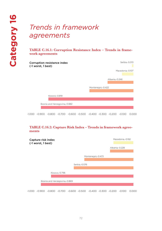# *Trends in framework agreements*

**TABLE C.16.1: Corruption Resistance Index – Trends in framework agreements**



-1.000 -0.900 -0.800 -0.700 -0.600 -0.500 -0.400 -0.300 -0.200 -0.100 0.000

#### **TABLE C.16.2: Capture Risk Index – Trends in framework agreements**

| Capture risk index<br>(-1 worst, 1 best) | Macedonia,-0.192                                                                    |
|------------------------------------------|-------------------------------------------------------------------------------------|
|                                          | Albania,-0.228                                                                      |
|                                          | Montenegro,-0.473                                                                   |
| Serbia, - 0.576                          |                                                                                     |
| Kosovo,-0.796                            |                                                                                     |
| Bosnia and Herzegovina, -0.869           |                                                                                     |
| -1.000 -0.900                            | $-0.800$ $-0.700$ $-0.600$ $-0.500$ $-0.400$ $-0.300$ $-0.200$<br>$-0.100$<br>0.000 |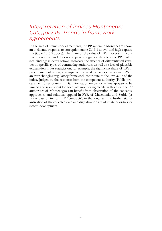### *Interpretation of indices Montenegro Category 16: Trends in framework agreements*

In the area of framework agreements, the PP system in Montenegro shows an incidental response to corruption (table C.16.1 above) and high capture risk (table C.16.2 above). The share of the value of FA's in overall PP contracting is small and does not appear to significantly affect the PP market (see Findings in detail below). However, the absence of differentiated statistics on specific types of contracting authorities as well as a lack of plausible explanation in FA statistics on, for example, the significant share of FA's in procurement of works, accompanied by weak capacities to conduct FA's in an ever-changing regulatory framework contribute to the low value of the index. Judged by the response from the competent authority (Public procurement directorate – PPD), information on trends in FA's appears to be limited and insufficient for adequate monitoring. While in this area, the PP authorities of Montenegro can benefit from observation of the concepts, approaches and solutions applied in FYR of Macedonia and Serbia (as in the case of trends in PP contracts), in the long run, the further standardization of the collected data and digitalization are ultimate priorities for system development.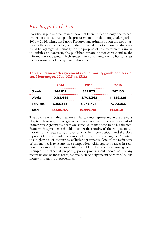## *Findings in detail*

Statistics in public procurement have not been unified through the respective reports on annual public procurements for the comparative period 2014 – 2016. Thus, the Public Procurement Administration did not insert data in the table provided, but rather provided links to reports so that data could be aggregated manually for the purpose of this assessment. Similar to statistics on contracts, the published reports do not correspond to the information requested, which undermines and limits the ability to assess the performance of the system in this area.

#### **Table 7 Framework agreements value (works, goods and services), Montenegro, 2014- 2016 (in EUR)**

|                 | 2014       | 2015       | 2016       |
|-----------------|------------|------------|------------|
| Goods           | 248.812    | 352.873    | 267.150    |
| Works           | 10.181.449 | 13.703.348 | 11.359.226 |
| <b>Services</b> | 3.155.565  | 5.943.478  | 7.790.033  |
| <b>Total</b>    | 13.585.827 | 19.999.700 | 19.416.409 |

The conclusions in this area are similar to those represented in the previous chapter. However, due to greater corruption risks in the management of Framework Agreements, there are some issues that need to be highlighted. Framework agreements should be under the scrutiny of the competent authorities on a large scale, as they tend to limit competition and therefore represent fertile ground for corrupt behaviour, thus exposing the PP system to a higher risk of capture by collusive agreements. One of the main aims of the market is to secure free competition. Although some areas in relation to violation of free competition would not be sanctioned (one general example is intellectual property), public procurement should not by any means be one of those areas, especially since a significant portion of public money is spent in PP procedures.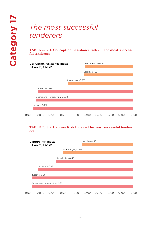# *The most successful tenderers*

#### **TABLE C.17.1: Corruption Resistance Index – The most successful tenderers**

| Corruption resistance index<br>(-1 worst, 1 best) |                |                               | Montenegro,-0.416 |                  |               |          |          |          |       |
|---------------------------------------------------|----------------|-------------------------------|-------------------|------------------|---------------|----------|----------|----------|-------|
|                                                   |                |                               |                   |                  | Serbia,-0.422 |          |          |          |       |
|                                                   |                |                               |                   |                  |               |          |          |          |       |
|                                                   |                |                               |                   | Macedonia,-0.555 |               |          |          |          |       |
|                                                   | Albania,-0.806 |                               |                   |                  |               |          |          |          |       |
|                                                   |                | Bosnia and Herzegovina,-0.832 |                   |                  |               |          |          |          |       |
|                                                   | Kosovo,-0.851  |                               |                   |                  |               |          |          |          |       |
| -0.900                                            | $-0.800$       | $-0.700$                      | $-0.600$          | $-0.500$         | $-0.400$      | $-0.300$ | $-0.200$ | $-0.100$ | 0.000 |

#### **TABLE C.17.2: Capture Risk Index – The most successful tenderers**

|        | Capture risk index<br>(-1 worst, 1 best) |          |                  |                   | Serbia,-0.430 |          |          |          |     |  |
|--------|------------------------------------------|----------|------------------|-------------------|---------------|----------|----------|----------|-----|--|
|        |                                          |          |                  | Montenegro,-0.589 |               |          |          |          |     |  |
|        |                                          |          | Macedonia,-0.645 |                   |               |          |          |          |     |  |
|        |                                          |          |                  |                   |               |          |          |          |     |  |
|        | Albania,-0.793                           |          |                  |                   |               |          |          |          |     |  |
|        | Kosovo,-0.851                            |          |                  |                   |               |          |          |          |     |  |
|        | Bosnia and Herzegovina,-0.854            |          |                  |                   |               |          |          |          |     |  |
| -0.900 | $-0.800$                                 | $-0.700$ | $-0.600$         | $-0.500$          | $-0.400$      | $-0.300$ | $-0.200$ | $-0.100$ | റററ |  |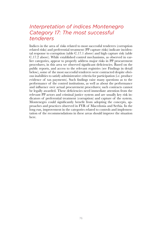### *Interpretation of indices Montenegro Category 17: The most successful tenderers*

Indices in the area of risks related to most successful tenderers (corruption related risks) and preferential treatment (PP capture risks) indicate incidental response to corruption (table C.17.1 above) and high capture risk (table C.17.2 above). While established control mechanisms, as observed in earlier categories, appear to properly address major risks in PP procurement procedures, in this area we observed significant deficiencies. Based on the public reports, and access to the relevant registries (see Findings in detail below), some of the most successful tenderers were contracted despite obvious inabilities to satisfy administrative criteria for participation (i.e. produce evidence of tax payments). Such findings raise many questions as to the performance of the control institutions, as well as about the performance and influence over actual procurement procedures; such contracts cannot be legally awarded. These deficiencies need immediate attention from the relevant PP actors and criminal justice system and are usually key risk indicators of preferential treatment (corruption) and capture of the system. Montenegro could significantly benefit from adopting the concepts, approaches and practices observed in FYR of Macedonia and Serbia. In the long run, improvement in the categories related to controls and implementation of the recommendations in these areas should improve the situation here.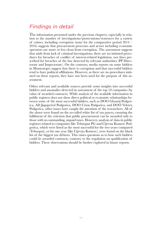## *Findings in detail*

The information presented under the previous chapters, especially in relation to the number of investigations/prosecutions/sentences for a variety of crimes, including corruption (none for the comparative period 2014 – 2016) suggests that procurement processes and actors including economic operators are more or less clean from corruption. The assessment suggests that aside from lack of criminal investigations, there are no initiated procedures for breaches of conflict of interest-related legislation, nor fines prescribed for breaches of the law detected by relevant authorities (PP Directorate and Inspectorate). On the contrary, media reports on some bidders in Montenegro suggest that there is corruption and that successful bidders tend to have political affiliations. However, as there are no procedures initiated on these reports, they have not been used for the purpose of this assessment.

Other relevant and available sources provide some insights into successful bidders and anomalies detected in assessment of the top 10 companies (by value of awarded contracts). While analysis of the available information in public registers does not show direct political or economic relationships between some of the most successful bidders, such as DOO Glosarij Podgorica, AD Jugopetrol Podgorica, DOO Urion Podgorica, and DOO Veletex Podgorica, other issues have caught the attention of the researchers. All of the above were found on the so-called white list of tax payers, ensuring the fulfilment of the criterion that public procurement can be awarded only to those with no outstanding, unpaid taxes. However, analysis of data in public registers related to companies like Tehnoput PG and Cijevna Komerc Podgorica, which were listed as the most successful for the two years compared (Tehnoput), or for one year (like Cijevna Komerc), were found on the black list of the biggest tax debtors. This raises questions as to how such bidders could be awarded contracts, contrary to the regulation on qualification of bidders. These observations should be further explored in future reports.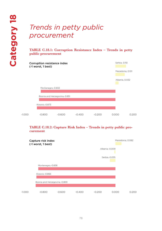# *Trends in petty public procurement*

#### **TABLE C.18.1: Corruption Resistance Index – Trends in petty public procurement**



#### **TABLE C.18.2: Capture Risk Index – Trends in petty public procurement**

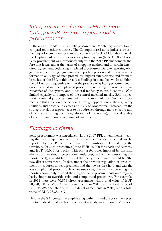### *Interpretation of indices Montenegro Category 18: Trends in petty public procurement*

In the area of trends in Petty public procurement, Montenegro scores low in comparison to other countries. The Corruption resistance index score is in the stage of elementary resistance to corruption (table C.18.1 above), while the Capture risk index indicates a captured system (table C.18.2 above). Petty procurement was introduced only with the 2017 PP amendments (before that it was under the terms of shopping method and to certain extent direct agreement, both using simplified procedures). Despite reporting obligations in the existing regulation, the reporting process and the available information on usage of such procedures, suggest extensive use and frequent breaches of the PPL in this area (see Findings in detail below). In addition, the SAI report frequently points at the practice of splitting procurement in order to avoid more complicated procedures, reflecting the observed weak capacities of the system, and a general tendency to avoid controls. With limited capacity and impact of the control mechanisms (i.e. SAI, inspectorate, criminal justice system), risks in this area multiply. Quick improvements in this area could be achieved through application of the regulatory solutions and practice in Serbia and FYR of Macedonia. However, on the strategic level, this aspect needs to be addressed through more effective and efficient data management (digitalization of the system), improved quality of controls and more sanctioning of malpractice.

### *Findings in detail*

Petty procurement was introduced via the 2017 PPL amendments, meaning that prior experience with this procurement procedure could not be reported by the Public Procurement Administration. Considering the thresholds for such procedures (up to EUR 15,000 for goods and services, and EUR 30,000 for works), with only a few rules imposed by the PPL (the procedure should be predominantly designed by the contracting authority itself), it might be expected that petty procurement would be "the new direct agreement". In fact, under the previous regulation of procurement procedures, direct agreement had the lowest threshold and was the less complicated procedure. It is not surprising that many contracting authorities commonly divided their higher value procurements on a regular basis, simply to override strict and complicated procedures. For example, in 2014 there were 70,659 direct agreements with a total value of EUR 20,728,038.52; 79,303 direct agreements in 2015, with a total value of EUR 22,822,054.56; and 84,967 direct agreements in 2016, with a total value of EUR 23,384,217.11.

Despite the SAI constantly emphasising within its audit reports the necessity to eradicate malpractice, no efficient remedy was imposed. Moreover,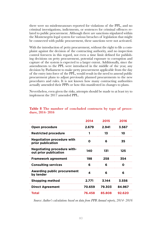there were no misdemeanours reported for violations of the PPL, and no criminal investigations, indictments, or sentences for criminal offences related to public procurement. Although there are sanctions stipulated within the Montenegrin legal system for various breaches of legislation that might be connected with public procurement, these sanctions were not activated.

With the introduction of petty procurement, without the right to file a complaint against the decision of the contracting authority, and no inspection control foreseen in this regard, not even a time limit defined for publishing decisions on petty procurement, potential exposure to corruption and capture of the system is expected to a larger extent. Additionally, since the amendments to the PPL were introduced in the middle of the year, any decision by Parliament to make petty procurement applicable from the day of the entry into force of the PPL, would result in the need to amend public procurement plans to adjust previously planned procurements to the new procedures and rules. It is not known how many contracting authorities actually amended their PPPs or how this manifested in changes to plans.

Nevertheless, even given the risks, attempts should be made to at least try to implement the 2017 amended PPL.

|                                                             | 2014   | 2015   | 2016   |  |
|-------------------------------------------------------------|--------|--------|--------|--|
| Open procedure                                              | 2.679  | 2.941  | 3.567  |  |
| <b>Restricted procedure</b>                                 |        | 13     | 10     |  |
| <b>Negotiation procedure with</b><br>prior publication      | Ο      | 6      | 35     |  |
| <b>Negotiating procedure with-</b><br>out prior publication | 140    | 131    | 125    |  |
| <b>Framework agreement</b>                                  | 198    | 258    | 354    |  |
| <b>Consulting services</b>                                  | 6      | 6      | Ω      |  |
| Awarding public procurement<br>by tender                    | 4      | 6      | 6      |  |
| <b>Shopping method</b>                                      | 2.771  | 3.144  | 3.556  |  |
| <b>Direct Agreement</b>                                     | 70.659 | 79.303 | 84.967 |  |
| <b>Total</b>                                                | 76.458 | 85.808 | 92.620 |  |

#### **Table 8 The number of concluded contracts by type of procedure, 2014- 2016**

*Source: Author's calculations based on data from PPB Annual reports, 2014- 2016*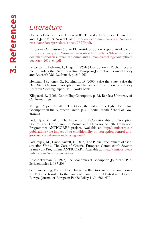## *Literature*

Council of the European Union (2003) Thessaloniki European Council 19 and 20 June 2003. Available at: [http://www.consilium.europa.eu/uedocs/](http://www.consilium.europa.eu/uedocs/cms_data/docs/pressdata/en/ec/76279.pdf) [cms\\_data/docs/pressdata/en/ec/76279.pdf.](http://www.consilium.europa.eu/uedocs/cms_data/docs/pressdata/en/ec/76279.pdf)

European Commission (2014) EU Anti-Corruption Report. Available at: [https://ec.europa.eu/home-affairs/sites/homeaffairs/files/e-library/](https://ec.europa.eu/home-affairs/sites/homeaffairs/files/e-library/documents/policies/organized-crime-and-human-trafficking/corruption/docs/acr_2014_en.pdf) [documents/policies/organized-crime-and-human-trafficking/corruption/](https://ec.europa.eu/home-affairs/sites/homeaffairs/files/e-library/documents/policies/organized-crime-and-human-trafficking/corruption/docs/acr_2014_en.pdf) [docs/acr\\_2014\\_en.pdf](https://ec.europa.eu/home-affairs/sites/homeaffairs/files/e-library/documents/policies/organized-crime-and-human-trafficking/corruption/docs/acr_2014_en.pdf)

Ferwerda, J., Deleanu, I., Unger, B. (2016) Corruption in Public Procurement: Finding the Right Indicators. European Journal on Criminal Policy and Research Vol. 23, Issue 2, p. 245-267.

Hellman, J.S., Jones, G., Kaufmann, D. (2000) Seize the State, Seize the Day: State Capture, Corruption, and Influence in Transition. p. 2. Policy Research Working Paper 2444. World Bank.

Klitgaard, R. (1998) Controlling Corruption. p. 75. Berkley: University of California Press.

Mungiu Pippidi, A. (2013) The Good, the Bad and the Ugly: Controlling Corruption in the European Union. p. 28. Berlin: Hertie School of Governance.

Podumljak, M. (2016) The Impact of EU Conditionality on Corruption Control and Governance in Bosnia and Herzegovina. 7th Framework Programme: ANTICORRP project. Available at: [http://anticorrp.eu/](http://anticorrp.eu/publications/the-impact-of-eu-conditionality-on-corruption-control-and-governance-in-bosnia-and-herzegovina/) [publications/the-impact-of-eu-conditionality-on-corruption-control-and](http://anticorrp.eu/publications/the-impact-of-eu-conditionality-on-corruption-control-and-governance-in-bosnia-and-herzegovina/)[governance-in-bosnia-and-herzegovina/](http://anticorrp.eu/publications/the-impact-of-eu-conditionality-on-corruption-control-and-governance-in-bosnia-and-herzegovina/).

Podumljak, M., David-Barrett, E. (2015) The Public Procurement of Construction Works: The Case of Croatia. European Commission's Seventh Framework Programme ANTICORRP. Available at: [http://anticorrp.eu/](http://anticorrp.eu/publications/report-on-croatia/) [publications/report-on-croatia/.](http://anticorrp.eu/publications/report-on-croatia/)

Rose-Ackerman, R. (1975) The Economics of Corruption. Journal of Public Economics 4. 187-203.

Schimmelfennig, F. and U. Sedelmeier (2004) Governance by conditionality: EU rule transfer to the candidate countries of Central and Eastern Europe. Journal of European Public Policy 11/4: 661–679.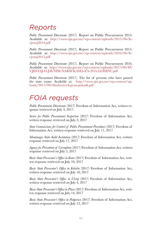## *Reports*

*Public Procurement Directorate* (2017). Report on Public Procurement 2014. Available at: [http://www.ujn.gov.me/wp-content/uploads/2015/06/Iz](http://www.ujn.gov.me/wp-content/uploads/2015/06/Izvjestaj2014.pdf)[vjestaj2014.pdf](http://www.ujn.gov.me/wp-content/uploads/2015/06/Izvjestaj2014.pdf)

*Public Procurement Directorate* (2017). Report on Public Procurement 2015. Available at: [http://www.ujn.gov.me/wp-content/uploads/2016/06/Iz](http://www.ujn.gov.me/wp-content/uploads/2016/06/Izvjestaj2015.pdf)[vjestaj2015.pdf](http://www.ujn.gov.me/wp-content/uploads/2016/06/Izvjestaj2015.pdf)

*Public Procurement Directorate* (2017). Report on Public Procurement 2016. Available at: [http://www.ujn.gov.me/wp-content/uploads/2017/06/IZ](http://www.ujn.gov.me/wp-content/uploads/2017/06/IZVJESTAJ-O-JAVNIM-NABAVKAMA-ZA-2016.GODINU.pdf)-[VJESTAJ-O-JAVNIM-NABAVKAMA-ZA-2016.GODINU.pdf](http://www.ujn.gov.me/wp-content/uploads/2017/06/IZVJESTAJ-O-JAVNIM-NABAVKAMA-ZA-2016.GODINU.pdf)

*Public Procurement Directorate* (2017). The list of persons who have passed the state exam. Available at:[http://www.ujn.gov.me/wp-content/up](http://www.ujn.gov.me/wp-content/uploads/2017/09/Sluzbenici-koji-su-polozili.pdf)[loads/2017/09/Sluzbenici-koji-su-polozili.pdf](http://www.ujn.gov.me/wp-content/uploads/2017/09/Sluzbenici-koji-su-polozili.pdf)

## *FOIA requests*

*Public Procurement Directorate* (2017) Freedom of Information Act, written response retrieved on July 3, 2017.

*Sector for Public Procurement Inspection* (2017) Freedom of Information Act, written response retrieved on July 3, 2017

*State Commissions for Control of Public Procurement Procedures* (2017) Freedom of Information Act, written response retrieved on July 11, 2017

*Montenegro State Audit Institution* (2017) Freedom of Information Act, written response retrieved on July 17, 2017

*Agency for Prevention of Corruption* (2017) Freedom of Information Act, written response retrieved on July 5, 2017

*Basic State Prosecutor's Office in Kotor* (2017) Freedom of Information Act, written response retrieved on July 10, 2017

*Basic State Prosecutor's Office in Kolašin* (2017) Freedom of Information Act, written response retrieved on July 10, 2017

*Basic State Prosecutor's Office in Ulcinj* (2017) Freedom of Information Act, written response retrieved on July 4, 2017

*Basic State Prosecutor's Office in Plavo* (2017) Freedom of Information Act, written response retrieved on July 14, 2017

*Basic State Prosecutor's Office in Podgorica* (2017) Freedom of Information Act, written response retrieved on July 12, 2017